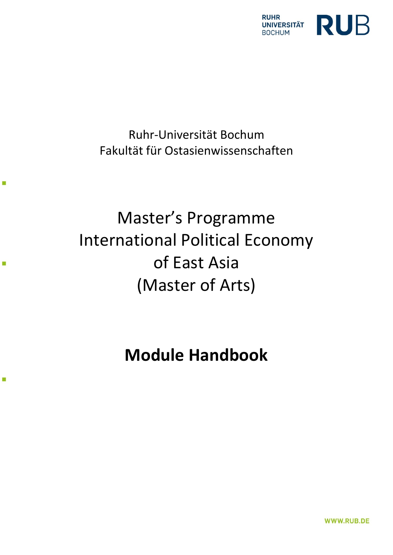

Ruhr-Universität Bochum Fakultät für Ostasienwissenschaften

**I** 

ί,

r.

# Master's Programme International Political Economy of East Asia (Master of Arts)

# **Module Handbook**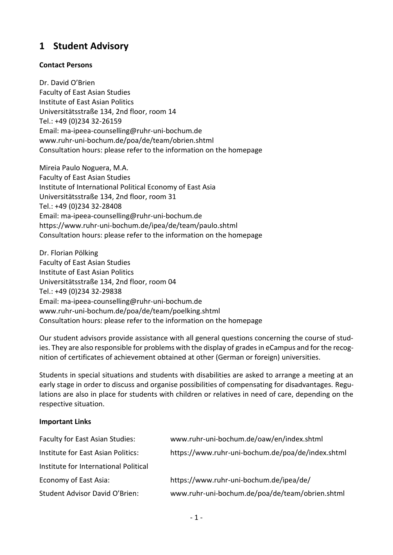# **1 Student Advisory**

# **Contact Persons**

Dr. David O'Brien Faculty of East Asian Studies Institute of East Asian Politics Universitätsstraße 134, 2nd floor, room 14 Tel.: +49 (0)234 32-26159 Email: ma-ipeea-counselling@ruhr-uni-bochum.de www.ruhr-uni-bochum.de/poa/de/team/obrien.shtml Consultation hours: please refer to the information on the homepage

Mireia Paulo Noguera, M.A. Faculty of East Asian Studies Institute of International Political Economy of East Asia Universitätsstraße 134, 2nd floor, room 31 Tel.: +49 (0)234 32-28408 Email: ma-ipeea-counselling@ruhr-uni-bochum.de <https://www.ruhr-uni-bochum.de/ipea/de/team/paulo.shtml> Consultation hours: please refer to the information on the homepage

Dr. Florian Pölking Faculty of East Asian Studies Institute of East Asian Politics Universitätsstraße 134, 2nd floor, room 04 Tel.: +49 (0)234 32-29838 Email: ma-ipeea-counselling@ruhr-uni-bochum.de www.ruhr-uni-bochum.de/poa/de/team/poelking.shtml Consultation hours: please refer to the information on the homepage

Our student advisors provide assistance with all general questions concerning the course of studies. They are also responsible for problems with the display of grades in eCampus and for the recognition of certificates of achievement obtained at other (German or foreign) universities.

Students in special situations and students with disabilities are asked to arrange a meeting at an early stage in order to discuss and organise possibilities of compensating for disadvantages. Regulations are also in place for students with children or relatives in need of care, depending on the respective situation.

# **Important Links**

| <b>Faculty for East Asian Studies:</b> | www.ruhr-uni-bochum.de/oaw/en/index.shtml         |
|----------------------------------------|---------------------------------------------------|
| Institute for East Asian Politics:     | https://www.ruhr-uni-bochum.de/poa/de/index.shtml |
| Institute for International Political  |                                                   |
| Economy of East Asia:                  | https://www.ruhr-uni-bochum.de/ipea/de/           |
| Student Advisor David O'Brien:         | www.ruhr-uni-bochum.de/poa/de/team/obrien.shtml   |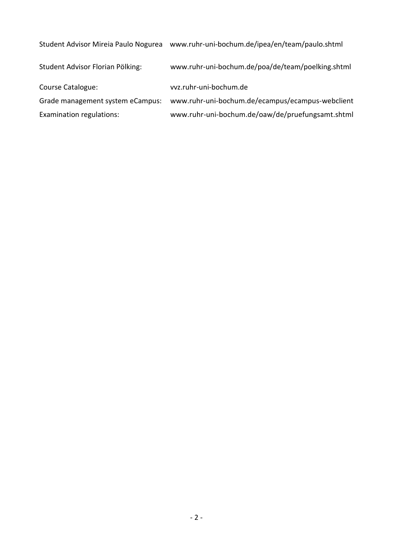| Student Advisor Mireia Paulo Nogurea | www.ruhr-uni-bochum.de/ipea/en/team/paulo.shtml   |
|--------------------------------------|---------------------------------------------------|
| Student Advisor Florian Pölking:     | www.ruhr-uni-bochum.de/poa/de/team/poelking.shtml |
| Course Catalogue:                    | vvz.ruhr-uni-bochum.de                            |
| Grade management system eCampus:     | www.ruhr-uni-bochum.de/ecampus/ecampus-webclient  |
| Examination regulations:             | www.ruhr-uni-bochum.de/oaw/de/pruefungsamt.shtml  |
|                                      |                                                   |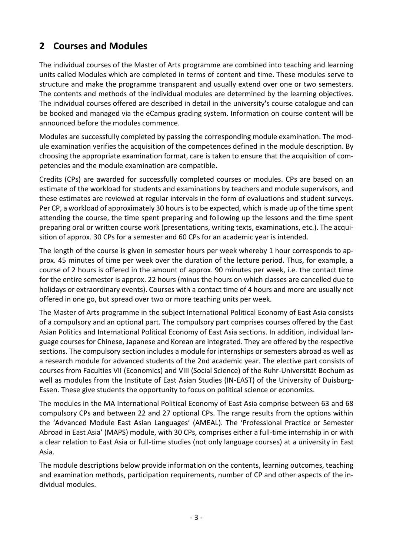# **2 Courses and Modules**

The individual courses of the Master of Arts programme are combined into teaching and learning units called Modules which are completed in terms of content and time. These modules serve to structure and make the programme transparent and usually extend over one or two semesters. The contents and methods of the individual modules are determined by the learning objectives. The individual courses offered are described in detail in the university's course catalogue and can be booked and managed via the eCampus grading system. Information on course content will be announced before the modules commence.

Modules are successfully completed by passing the corresponding module examination. The module examination verifies the acquisition of the competences defined in the module description. By choosing the appropriate examination format, care is taken to ensure that the acquisition of competencies and the module examination are compatible.

Credits (CPs) are awarded for successfully completed courses or modules. CPs are based on an estimate of the workload for students and examinations by teachers and module supervisors, and these estimates are reviewed at regular intervals in the form of evaluations and student surveys. Per CP, a workload of approximately 30 hours is to be expected, which is made up of the time spent attending the course, the time spent preparing and following up the lessons and the time spent preparing oral or written course work (presentations, writing texts, examinations, etc.). The acquisition of approx. 30 CPs for a semester and 60 CPs for an academic year is intended.

The length of the course is given in semester hours per week whereby 1 hour corresponds to approx. 45 minutes of time per week over the duration of the lecture period. Thus, for example, a course of 2 hours is offered in the amount of approx. 90 minutes per week, i.e. the contact time for the entire semester is approx. 22 hours (minus the hours on which classes are cancelled due to holidays or extraordinary events). Courses with a contact time of 4 hours and more are usually not offered in one go, but spread over two or more teaching units per week.

The Master of Arts programme in the subject International Political Economy of East Asia consists of a compulsory and an optional part. The compulsory part comprises courses offered by the East Asian Politics and International Political Economy of East Asia sections. In addition, individual language courses for Chinese, Japanese and Korean are integrated. They are offered by the respective sections. The compulsory section includes a module for internships or semesters abroad as well as a research module for advanced students of the 2nd academic year. The elective part consists of courses from Faculties VII (Economics) and VIII (Social Science) of the Ruhr-Universität Bochum as well as modules from the Institute of East Asian Studies (IN-EAST) of the University of Duisburg-Essen. These give students the opportunity to focus on political science or economics.

The modules in the MA International Political Economy of East Asia comprise between 63 and 68 compulsory CPs and between 22 and 27 optional CPs. The range results from the options within the 'Advanced Module East Asian Languages' (AMEAL). The 'Professional Practice or Semester Abroad in East Asia' (MAPS) module, with 30 CPs, comprises either a full-time internship in or with a clear relation to East Asia or full-time studies (not only language courses) at a university in East Asia.

The module descriptions below provide information on the contents, learning outcomes, teaching and examination methods, participation requirements, number of CP and other aspects of the individual modules.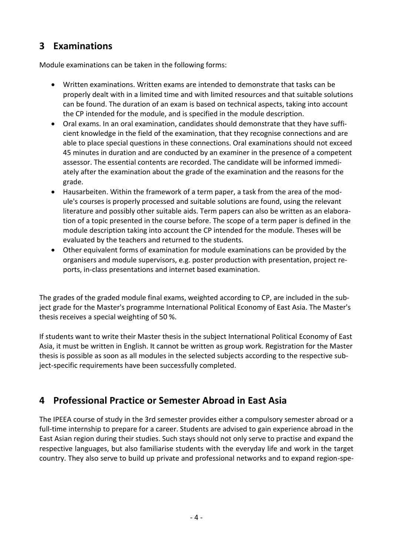# **3 Examinations**

Module examinations can be taken in the following forms:

- Written examinations. Written exams are intended to demonstrate that tasks can be properly dealt with in a limited time and with limited resources and that suitable solutions can be found. The duration of an exam is based on technical aspects, taking into account the CP intended for the module, and is specified in the module description.
- Oral exams. In an oral examination, candidates should demonstrate that they have sufficient knowledge in the field of the examination, that they recognise connections and are able to place special questions in these connections. Oral examinations should not exceed 45 minutes in duration and are conducted by an examiner in the presence of a competent assessor. The essential contents are recorded. The candidate will be informed immediately after the examination about the grade of the examination and the reasons for the grade.
- Hausarbeiten. Within the framework of a term paper, a task from the area of the module's courses is properly processed and suitable solutions are found, using the relevant literature and possibly other suitable aids. Term papers can also be written as an elaboration of a topic presented in the course before. The scope of a term paper is defined in the module description taking into account the CP intended for the module. Theses will be evaluated by the teachers and returned to the students.
- Other equivalent forms of examination for module examinations can be provided by the organisers and module supervisors, e.g. poster production with presentation, project reports, in-class presentations and internet based examination.

The grades of the graded module final exams, weighted according to CP, are included in the subject grade for the Master's programme International Political Economy of East Asia. The Master's thesis receives a special weighting of 50 %.

If students want to write their Master thesis in the subject International Political Economy of East Asia, it must be written in English. It cannot be written as group work. Registration for the Master thesis is possible as soon as all modules in the selected subjects according to the respective subject-specific requirements have been successfully completed.

# **4 Professional Practice or Semester Abroad in East Asia**

The IPEEA course of study in the 3rd semester provides either a compulsory semester abroad or a full-time internship to prepare for a career. Students are advised to gain experience abroad in the East Asian region during their studies. Such stays should not only serve to practise and expand the respective languages, but also familiarise students with the everyday life and work in the target country. They also serve to build up private and professional networks and to expand region-spe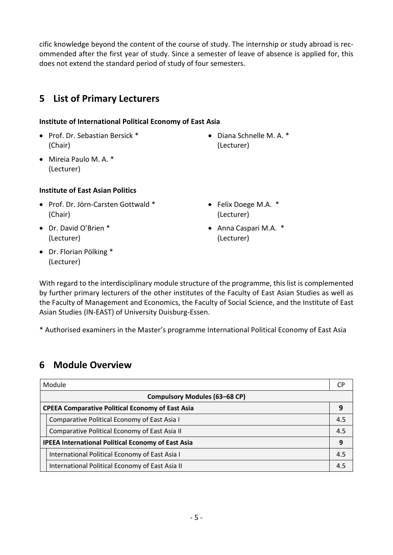cific knowledge beyond the content of the course of study. The internship or study abroad is recommended after the first year of study. Since a semester of leave of absence is applied for, this does not extend the standard period of study of four semesters.

# **5 List of Primary Lecturers**

# **Institute of International Political Economy of East Asia**

• Prof. Dr. Sebastian Bersick \* (Chair)

• Diana Schnelle M. A. \* (Lecturer)

• Mireia Paulo M. A. \* (Lecturer)

# **Institute of East Asian Politics**

- Prof. Dr. Jörn-Carsten Gottwald \* (Chair)
- Dr. David O'Brien \* (Lecturer)
- Felix Doege M.A. \* (Lecturer)
- Anna Caspari M.A. \* (Lecturer)

• Dr. Florian Pölking \* (Lecturer)

With regard to the interdisciplinary module structure of the programme, this list is complemented by further primary lecturers of the other institutes of the Faculty of East Asian Studies as well as the Faculty of Management and Economics, the Faculty of Social Science, and the Institute of East Asian Studies (IN-EAST) of University Duisburg-Essen.

\* Authorised examiners in the Master's programme International Political Economy of East Asia

# **6 Module Overview**

|                                                         | Module                                                    | СP  |  |  |  |
|---------------------------------------------------------|-----------------------------------------------------------|-----|--|--|--|
|                                                         | <b>Compulsory Modules (63-68 CP)</b>                      |     |  |  |  |
| <b>CPEEA Comparative Political Economy of East Asia</b> |                                                           |     |  |  |  |
|                                                         | Comparative Political Economy of East Asia I              | 4.5 |  |  |  |
|                                                         | Comparative Political Economy of East Asia II             | 4.5 |  |  |  |
|                                                         | <b>IPEEA International Political Economy of East Asia</b> |     |  |  |  |
|                                                         | International Political Economy of East Asia I            | 4.5 |  |  |  |
|                                                         | International Political Economy of East Asia II           | 4.5 |  |  |  |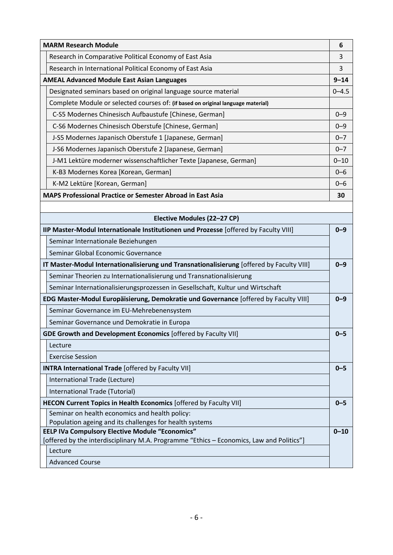|                                                                   | <b>MARM Research Module</b>                                                      | 6         |  |  |  |  |
|-------------------------------------------------------------------|----------------------------------------------------------------------------------|-----------|--|--|--|--|
|                                                                   | Research in Comparative Political Economy of East Asia                           | 3         |  |  |  |  |
|                                                                   | Research in International Political Economy of East Asia                         |           |  |  |  |  |
|                                                                   | <b>AMEAL Advanced Module East Asian Languages</b>                                | $9 - 14$  |  |  |  |  |
|                                                                   | Designated seminars based on original language source material                   | $0 - 4.5$ |  |  |  |  |
|                                                                   | Complete Module or selected courses of: (if based on original language material) |           |  |  |  |  |
|                                                                   | C-S5 Modernes Chinesisch Aufbaustufe [Chinese, German]                           | $0 - 9$   |  |  |  |  |
|                                                                   | C-S6 Modernes Chinesisch Oberstufe [Chinese, German]                             | $0 - 9$   |  |  |  |  |
|                                                                   | J-S5 Modernes Japanisch Oberstufe 1 [Japanese, German]                           | $0 - 7$   |  |  |  |  |
|                                                                   | J-S6 Modernes Japanisch Oberstufe 2 [Japanese, German]                           | $0 - 7$   |  |  |  |  |
|                                                                   | J-M1 Lektüre moderner wissenschaftlicher Texte [Japanese, German]                | $0 - 10$  |  |  |  |  |
|                                                                   | K-B3 Modernes Korea [Korean, German]                                             | $0 - 6$   |  |  |  |  |
|                                                                   | K-M2 Lektüre [Korean, German]                                                    | $0 - 6$   |  |  |  |  |
| <b>MAPS Professional Practice or Semester Abroad in East Asia</b> |                                                                                  |           |  |  |  |  |
|                                                                   |                                                                                  |           |  |  |  |  |
|                                                                   | Flactive Modules (22-27 CD)                                                      |           |  |  |  |  |

| Elective Modules (22–27 CP)                                                               |          |
|-------------------------------------------------------------------------------------------|----------|
| IIP Master-Modul Internationale Institutionen und Prozesse [offered by Faculty VIII]      | $0 - 9$  |
| Seminar Internationale Beziehungen                                                        |          |
| Seminar Global Economic Governance                                                        |          |
| IT Master-Modul Internationalisierung und Transnationalisierung [offered by Faculty VIII] | $0 - 9$  |
| Seminar Theorien zu Internationalisierung und Transnationalisierung                       |          |
| Seminar Internationalisierungsprozessen in Gesellschaft, Kultur und Wirtschaft            |          |
| EDG Master-Modul Europäisierung, Demokratie und Governance [offered by Faculty VIII]      | $0 - 9$  |
| Seminar Governance im EU-Mehrebenensystem                                                 |          |
| Seminar Governance und Demokratie in Europa                                               |          |
| <b>GDE Growth and Development Economics [offered by Faculty VII]</b>                      | $0 - 5$  |
| Lecture                                                                                   |          |
| <b>Exercise Session</b>                                                                   |          |
| <b>INTRA International Trade [offered by Faculty VII]</b>                                 | $0 - 5$  |
| International Trade (Lecture)                                                             |          |
| International Trade (Tutorial)                                                            |          |
| HECON Current Topics in Health Economics [offered by Faculty VII]                         | $0 - 5$  |
| Seminar on health economics and health policy:                                            |          |
| Population ageing and its challenges for health systems                                   |          |
| <b>EELP IVa Compulsory Elective Module "Economics"</b>                                    | $0 - 10$ |
| [offered by the interdisciplinary M.A. Programme "Ethics - Economics, Law and Politics"]  |          |
| Lecture                                                                                   |          |
| <b>Advanced Course</b>                                                                    |          |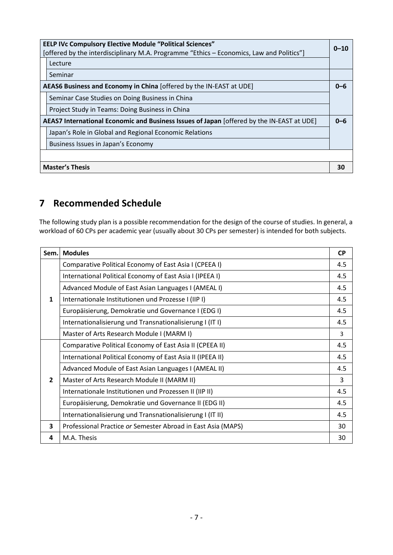| <b>EELP IVc Compulsory Elective Module "Political Sciences"</b><br>[offered by the interdisciplinary M.A. Programme "Ethics – Economics, Law and Politics"]<br>Lecture | $0 - 10$ |  |  |
|------------------------------------------------------------------------------------------------------------------------------------------------------------------------|----------|--|--|
| Seminar                                                                                                                                                                |          |  |  |
| AEAS6 Business and Economy in China [offered by the IN-EAST at UDE]                                                                                                    | $0 - 6$  |  |  |
| Seminar Case Studies on Doing Business in China                                                                                                                        |          |  |  |
| Project Study in Teams: Doing Business in China                                                                                                                        |          |  |  |
| AEAS7 International Economic and Business Issues of Japan [offered by the IN-EAST at UDE]                                                                              | $0 - 6$  |  |  |
| Japan's Role in Global and Regional Economic Relations                                                                                                                 |          |  |  |
| Business Issues in Japan's Economy                                                                                                                                     |          |  |  |
|                                                                                                                                                                        |          |  |  |
| <b>Master's Thesis</b>                                                                                                                                                 | 30       |  |  |

# **7 Recommended Schedule**

The following study plan is a possible recommendation for the design of the course of studies. In general, a workload of 60 CPs per academic year (usually about 30 CPs per semester) is intended for both subjects.

| Sem.           | <b>Modules</b>                                               | <b>CP</b> |
|----------------|--------------------------------------------------------------|-----------|
|                | Comparative Political Economy of East Asia I (CPEEA I)       | 4.5       |
|                | International Political Economy of East Asia I (IPEEA I)     | 4.5       |
|                | Advanced Module of East Asian Languages I (AMEAL I)          |           |
| $\mathbf{1}$   | Internationale Institutionen und Prozesse I (IIP I)          | 4.5       |
|                | Europäisierung, Demokratie und Governance I (EDG I)          | 4.5       |
|                | Internationalisierung und Transnationalisierung I (ITI)      | 4.5       |
|                | Master of Arts Research Module I (MARM I)                    | 3         |
|                | Comparative Political Economy of East Asia II (CPEEA II)     | 4.5       |
|                | International Political Economy of East Asia II (IPEEA II)   | 4.5       |
|                | Advanced Module of East Asian Languages I (AMEAL II)         | 4.5       |
| $\overline{2}$ | Master of Arts Research Module II (MARM II)                  | 3         |
|                | Internationale Institutionen und Prozessen II (IIP II)       | 4.5       |
|                | Europäisierung, Demokratie und Governance II (EDG II)        | 4.5       |
|                | Internationalisierung und Transnationalisierung I (IT II)    | 4.5       |
| 3              | Professional Practice or Semester Abroad in East Asia (MAPS) | 30        |
| 4              | M.A. Thesis                                                  | 30        |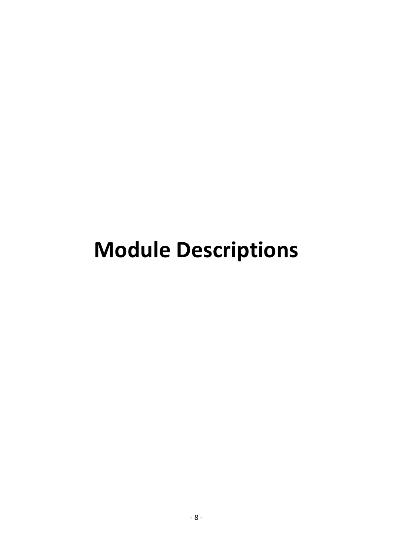# **Module Descriptions**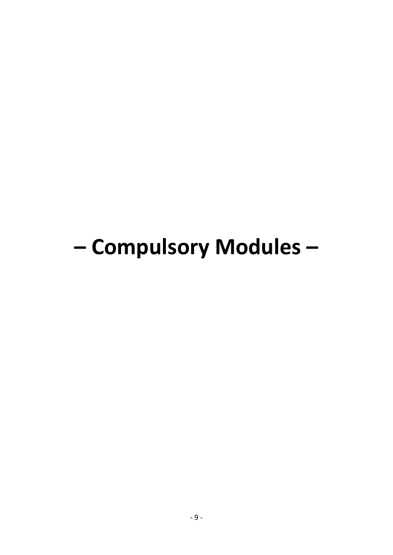# - Compulsory Modules-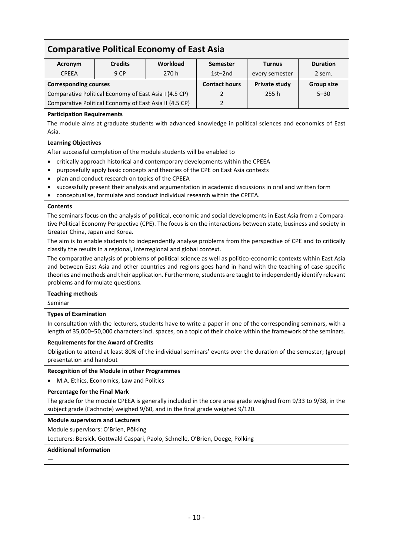# **Comparative Political Economy of East Asia**

| Acronym                                               | <b>Credits</b>                                         | <b>Workload</b> | <b>Semester</b>      | <b>Turnus</b>  | <b>Duration</b>   |
|-------------------------------------------------------|--------------------------------------------------------|-----------------|----------------------|----------------|-------------------|
| <b>CPEEA</b>                                          | 9CP                                                    | 270h            | $1st-2nd$            | every semester | 2 sem.            |
| <b>Corresponding courses</b>                          |                                                        |                 | <b>Contact hours</b> | Private study  | <b>Group size</b> |
| Comparative Political Economy of East Asia I (4.5 CP) |                                                        |                 |                      | 255h           | $5 - 30$          |
|                                                       | Comparative Political Economy of East Asia II (4.5 CP) |                 |                      |                |                   |

## **Participation Requirements**

The module aims at graduate students with advanced knowledge in political sciences and economics of East Asia.

## **Learning Objectives**

After successful completion of the module students will be enabled to

- critically approach historical and contemporary developments within the CPEEA
- purposefully apply basic concepts and theories of the CPE on East Asia contexts
- plan and conduct research on topics of the CPEEA
- successfully present their analysis and argumentation in academic discussions in oral and written form
- conceptualise, formulate and conduct individual research within the CPEEA.

#### **Contents**

The seminars focus on the analysis of political, economic and social developments in East Asia from a Comparative Political Economy Perspective (CPE). The focus is on the interactions between state, business and society in Greater China, Japan and Korea.

The aim is to enable students to independently analyse problems from the perspective of CPE and to critically classify the results in a regional, interregional and global context.

The comparative analysis of problems of political science as well as politico-economic contexts within East Asia and between East Asia and other countries and regions goes hand in hand with the teaching of case-specific theories and methods and their application. Furthermore, students are taught to independently identify relevant problems and formulate questions.

#### **Teaching methods**

Seminar

#### **Types of Examination**

In consultation with the lecturers, students have to write a paper in one of the corresponding seminars, with a length of 35,000–50,000 characters incl. spaces, on a topic of their choice within the framework of the seminars.

#### **Requirements for the Award of Credits**

Obligation to attend at least 80% of the individual seminars' events over the duration of the semester; (group) presentation and handout

#### **Recognition of the Module in other Programmes**

• M.A. Ethics, Economics, Law and Politics

#### **Percentage for the Final Mark**

The grade for the module CPEEA is generally included in the core area grade weighed from 9/33 to 9/38, in the subject grade (Fachnote) weighed 9/60, and in the final grade weighed 9/120.

#### **Module supervisors and Lecturers**

Module supervisors: O'Brien, Pölking

Lecturers: Bersick, Gottwald Caspari, Paolo, Schnelle, O'Brien, Doege, Pölking

#### **Additional Information**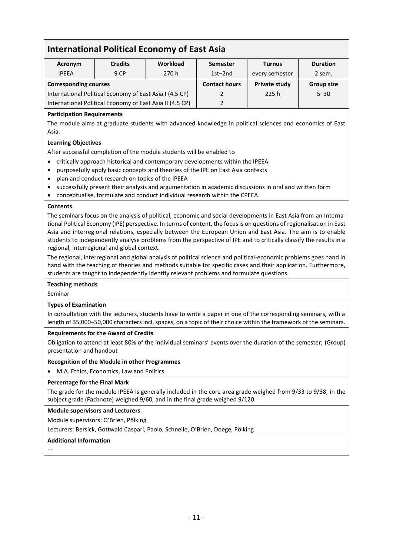# **International Political Economy of East Asia**

| <b>Acronym</b>                                          | <b>Credits</b>                                           | <b>Workload</b> | <b>Semester</b>      | <b>Turnus</b>  | <b>Duration</b>   |
|---------------------------------------------------------|----------------------------------------------------------|-----------------|----------------------|----------------|-------------------|
| <b>IPFFA</b>                                            | 9 CP                                                     | 270h            | 1st-2nd              | every semester | 2 sem.            |
| <b>Corresponding courses</b>                            |                                                          |                 | <b>Contact hours</b> | Private study  | <b>Group size</b> |
| International Political Economy of East Asia I (4.5 CP) |                                                          |                 | $\mathcal{P}$        | 225h           | $5 - 30$          |
|                                                         | International Political Economy of East Asia II (4.5 CP) |                 | $\mathcal{P}$        |                |                   |

## **Participation Requirements**

The module aims at graduate students with advanced knowledge in political sciences and economics of East Asia.

## **Learning Objectives**

After successful completion of the module students will be enabled to

- critically approach historical and contemporary developments within the IPEEA
- purposefully apply basic concepts and theories of the IPE on East Asia contexts
- plan and conduct research on topics of the IPEEA
- successfully present their analysis and argumentation in academic discussions in oral and written form
- conceptualise, formulate and conduct individual research within the CPEEA.

#### **Contents**

The seminars focus on the analysis of political, economic and social developments in East Asia from an International Political Economy (IPE) perspective. In terms of content, the focus is on questions of regionalisation in East Asia and interregional relations, especially between the European Union and East Asia. The aim is to enable students to independently analyse problems from the perspective of IPE and to critically classify the results in a regional, interregional and global context.

The regional, interregional and global analysis of political science and political-economic problems goes hand in hand with the teaching of theories and methods suitable for specific cases and their application. Furthermore, students are taught to independently identify relevant problems and formulate questions.

#### **Teaching methods**

Seminar

#### **Types of Examination**

In consultation with the lecturers, students have to write a paper in one of the corresponding seminars, with a length of 35,000–50,000 characters incl. spaces, on a topic of their choice within the framework of the seminars.

#### **Requirements for the Award of Credits**

Obligation to attend at least 80% of the individual seminars' events over the duration of the semester; (Group) presentation and handout

#### **Recognition of the Module in other Programmes**

• M.A. Ethics, Economics, Law and Politics

#### **Percentage for the Final Mark**

The grade for the module IPEEA is generally included in the core area grade weighed from 9/33 to 9/38, in the subject grade (Fachnote) weighed 9/60, and in the final grade weighed 9/120.

**Module supervisors and Lecturers**

Module supervisors: O'Brien, Pölking

Lecturers: Bersick, Gottwald Caspari, Paolo, Schnelle, O'Brien, Doege, Pölking

## **Additional Information**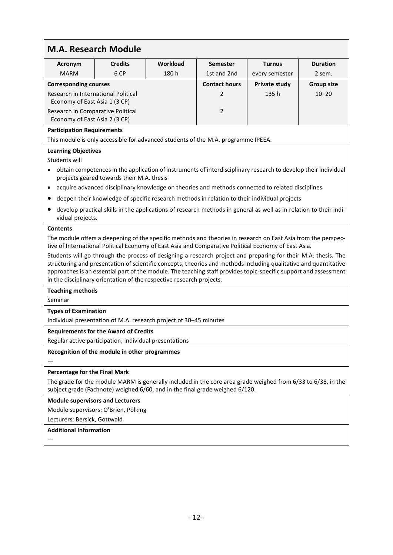| <b>M.A. Research Module</b>                                                                                                                                                                  |                                                        |                                                                                                                                                                                                                                                                                                                                                                                                                                                                                                                                                                                                                                                        |                      |                      |                   |
|----------------------------------------------------------------------------------------------------------------------------------------------------------------------------------------------|--------------------------------------------------------|--------------------------------------------------------------------------------------------------------------------------------------------------------------------------------------------------------------------------------------------------------------------------------------------------------------------------------------------------------------------------------------------------------------------------------------------------------------------------------------------------------------------------------------------------------------------------------------------------------------------------------------------------------|----------------------|----------------------|-------------------|
| Acronym                                                                                                                                                                                      | <b>Credits</b>                                         | <b>Workload</b>                                                                                                                                                                                                                                                                                                                                                                                                                                                                                                                                                                                                                                        | <b>Semester</b>      | <b>Turnus</b>        | <b>Duration</b>   |
| <b>MARM</b>                                                                                                                                                                                  | 6 CP                                                   | 180h                                                                                                                                                                                                                                                                                                                                                                                                                                                                                                                                                                                                                                                   | 1st and 2nd          | every semester       | 2 sem.            |
| <b>Corresponding courses</b>                                                                                                                                                                 |                                                        |                                                                                                                                                                                                                                                                                                                                                                                                                                                                                                                                                                                                                                                        | <b>Contact hours</b> | <b>Private study</b> | <b>Group size</b> |
| Research in International Political                                                                                                                                                          |                                                        |                                                                                                                                                                                                                                                                                                                                                                                                                                                                                                                                                                                                                                                        | 2                    | 135h                 | $10 - 20$         |
| Economy of East Asia 1 (3 CP)                                                                                                                                                                |                                                        |                                                                                                                                                                                                                                                                                                                                                                                                                                                                                                                                                                                                                                                        |                      |                      |                   |
| Research in Comparative Political<br>Economy of East Asia 2 (3 CP)                                                                                                                           |                                                        |                                                                                                                                                                                                                                                                                                                                                                                                                                                                                                                                                                                                                                                        | $\overline{2}$       |                      |                   |
| <b>Participation Requirements</b>                                                                                                                                                            |                                                        |                                                                                                                                                                                                                                                                                                                                                                                                                                                                                                                                                                                                                                                        |                      |                      |                   |
|                                                                                                                                                                                              |                                                        | This module is only accessible for advanced students of the M.A. programme IPEEA.                                                                                                                                                                                                                                                                                                                                                                                                                                                                                                                                                                      |                      |                      |                   |
| <b>Learning Objectives</b><br>Students will                                                                                                                                                  |                                                        |                                                                                                                                                                                                                                                                                                                                                                                                                                                                                                                                                                                                                                                        |                      |                      |                   |
| $\bullet$                                                                                                                                                                                    | projects geared towards their M.A. thesis              | obtain competences in the application of instruments of interdisciplinary research to develop their individual                                                                                                                                                                                                                                                                                                                                                                                                                                                                                                                                         |                      |                      |                   |
| $\bullet$                                                                                                                                                                                    |                                                        | acquire advanced disciplinary knowledge on theories and methods connected to related disciplines                                                                                                                                                                                                                                                                                                                                                                                                                                                                                                                                                       |                      |                      |                   |
|                                                                                                                                                                                              |                                                        | deepen their knowledge of specific research methods in relation to their individual projects                                                                                                                                                                                                                                                                                                                                                                                                                                                                                                                                                           |                      |                      |                   |
| ٠<br>vidual projects.                                                                                                                                                                        |                                                        | develop practical skills in the applications of research methods in general as well as in relation to their indi-                                                                                                                                                                                                                                                                                                                                                                                                                                                                                                                                      |                      |                      |                   |
|                                                                                                                                                                                              |                                                        | The module offers a deepening of the specific methods and theories in research on East Asia from the perspec-<br>tive of International Political Economy of East Asia and Comparative Political Economy of East Asia.<br>Students will go through the process of designing a research project and preparing for their M.A. thesis. The<br>structuring and presentation of scientific concepts, theories and methods including qualitative and quantitative<br>approaches is an essential part of the module. The teaching staff provides topic-specific support and assessment<br>in the disciplinary orientation of the respective research projects. |                      |                      |                   |
| <b>Teaching methods</b>                                                                                                                                                                      |                                                        |                                                                                                                                                                                                                                                                                                                                                                                                                                                                                                                                                                                                                                                        |                      |                      |                   |
| Seminar                                                                                                                                                                                      |                                                        |                                                                                                                                                                                                                                                                                                                                                                                                                                                                                                                                                                                                                                                        |                      |                      |                   |
| <b>Types of Examination</b>                                                                                                                                                                  |                                                        |                                                                                                                                                                                                                                                                                                                                                                                                                                                                                                                                                                                                                                                        |                      |                      |                   |
|                                                                                                                                                                                              |                                                        | Individual presentation of M.A. research project of 30-45 minutes                                                                                                                                                                                                                                                                                                                                                                                                                                                                                                                                                                                      |                      |                      |                   |
|                                                                                                                                                                                              | <b>Requirements for the Award of Credits</b>           |                                                                                                                                                                                                                                                                                                                                                                                                                                                                                                                                                                                                                                                        |                      |                      |                   |
|                                                                                                                                                                                              | Regular active participation; individual presentations |                                                                                                                                                                                                                                                                                                                                                                                                                                                                                                                                                                                                                                                        |                      |                      |                   |
| Recognition of the module in other programmes                                                                                                                                                |                                                        |                                                                                                                                                                                                                                                                                                                                                                                                                                                                                                                                                                                                                                                        |                      |                      |                   |
| Percentage for the Final Mark                                                                                                                                                                |                                                        |                                                                                                                                                                                                                                                                                                                                                                                                                                                                                                                                                                                                                                                        |                      |                      |                   |
| The grade for the module MARM is generally included in the core area grade weighed from 6/33 to 6/38, in the<br>subject grade (Fachnote) weighed 6/60, and in the final grade weighed 6/120. |                                                        |                                                                                                                                                                                                                                                                                                                                                                                                                                                                                                                                                                                                                                                        |                      |                      |                   |
| <b>Module supervisors and Lecturers</b>                                                                                                                                                      |                                                        |                                                                                                                                                                                                                                                                                                                                                                                                                                                                                                                                                                                                                                                        |                      |                      |                   |
|                                                                                                                                                                                              | Module supervisors: O'Brien, Pölking                   |                                                                                                                                                                                                                                                                                                                                                                                                                                                                                                                                                                                                                                                        |                      |                      |                   |
| Lecturers: Bersick, Gottwald                                                                                                                                                                 |                                                        |                                                                                                                                                                                                                                                                                                                                                                                                                                                                                                                                                                                                                                                        |                      |                      |                   |
| <b>Additional Information</b>                                                                                                                                                                |                                                        |                                                                                                                                                                                                                                                                                                                                                                                                                                                                                                                                                                                                                                                        |                      |                      |                   |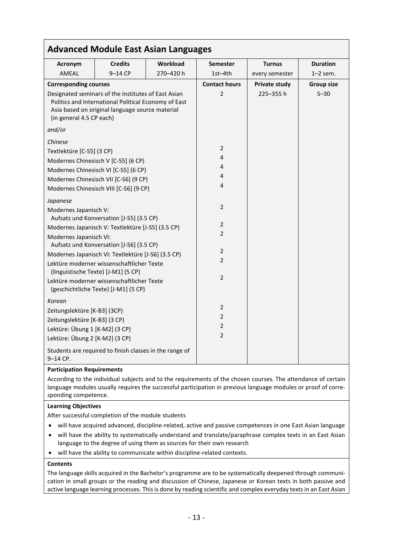|                                                                                                                                                                                            | <b>Advanced Module East Asian Languages</b>                                       |                 |                      |                      |                   |
|--------------------------------------------------------------------------------------------------------------------------------------------------------------------------------------------|-----------------------------------------------------------------------------------|-----------------|----------------------|----------------------|-------------------|
| Acronym                                                                                                                                                                                    | <b>Credits</b>                                                                    | <b>Workload</b> | <b>Semester</b>      | <b>Turnus</b>        | <b>Duration</b>   |
| AMEAL                                                                                                                                                                                      | $9-14$ CP                                                                         | 270-420 h       | $1st-4th$            | every semester       | $1-2$ sem.        |
| <b>Corresponding courses</b>                                                                                                                                                               |                                                                                   |                 | <b>Contact hours</b> | <b>Private study</b> | <b>Group size</b> |
| Designated seminars of the institutes of East Asian<br>Politics and International Political Economy of East<br>Asia based on original language source material<br>(in general 4.5 CP each) |                                                                                   |                 | $\overline{2}$       | 225-355h             | $5 - 30$          |
| and/or                                                                                                                                                                                     |                                                                                   |                 |                      |                      |                   |
| Chinese                                                                                                                                                                                    |                                                                                   |                 |                      |                      |                   |
| Textlektüre [C-S5] (3 CP)                                                                                                                                                                  |                                                                                   |                 | 2                    |                      |                   |
|                                                                                                                                                                                            | Modernes Chinesisch V [C-S5] (6 CP)                                               |                 | 4                    |                      |                   |
|                                                                                                                                                                                            | Modernes Chinesisch VI [C-S5] (6 CP)                                              |                 | 4                    |                      |                   |
|                                                                                                                                                                                            | Modernes Chinesisch VII [C-S6] (9 CP)                                             |                 | 4                    |                      |                   |
|                                                                                                                                                                                            | Modernes Chinesisch VIII [C-S6] (9 CP)                                            |                 | 4                    |                      |                   |
| Japanese                                                                                                                                                                                   |                                                                                   |                 |                      |                      |                   |
| Modernes Japanisch V:                                                                                                                                                                      |                                                                                   |                 | 2                    |                      |                   |
|                                                                                                                                                                                            | Aufsatz und Konversation [J-S5] (3.5 CP)                                          |                 | 2                    |                      |                   |
|                                                                                                                                                                                            | Modernes Japanisch V: Textlektüre [J-S5] (3.5 CP)                                 |                 | $\overline{2}$       |                      |                   |
| Modernes Japanisch VI:                                                                                                                                                                     | Aufsatz und Konversation [J-S6] (3.5 CP)                                          |                 |                      |                      |                   |
|                                                                                                                                                                                            | Modernes Japanisch VI: Textlektüre [J-S6] (3.5 CP)                                |                 | $\overline{2}$       |                      |                   |
|                                                                                                                                                                                            | Lektüre moderner wissenschaftlicher Texte                                         |                 | $\overline{2}$       |                      |                   |
|                                                                                                                                                                                            | (linguistische Texte) [J-M1] (5 CP)                                               |                 |                      |                      |                   |
|                                                                                                                                                                                            | Lektüre moderner wissenschaftlicher Texte<br>(geschichtliche Texte) [J-M1] (5 CP) |                 | 2                    |                      |                   |
| Korean                                                                                                                                                                                     |                                                                                   |                 |                      |                      |                   |
| Zeitungslektüre [K-B3] (3CP)                                                                                                                                                               |                                                                                   |                 | 2                    |                      |                   |
| Zeitungslektüre [K-B3] (3 CP)                                                                                                                                                              |                                                                                   |                 | $\overline{2}$       |                      |                   |
| Lektüre: Übung 1 [K-M2] (3 CP)                                                                                                                                                             |                                                                                   |                 | 2                    |                      |                   |
| Lektüre: Übung 2 [K-M2] (3 CP)                                                                                                                                                             |                                                                                   |                 | $\overline{2}$       |                      |                   |
| 9-14 CP.                                                                                                                                                                                   | Students are required to finish classes in the range of                           |                 |                      |                      |                   |

## **Participation Requirements**

According to the individual subjects and to the requirements of the chosen courses. The attendance of certain language modules usually requires the successful participation in previous language modules or proof of corresponding competence.

#### **Learning Objectives**

After successful completion of the module students

- will have acquired advanced, discipline-related, active and passive competences in one East Asian language
- will have the ability to systematically understand and translate/paraphrase complex texts in an East Asian language to the degree of using them as sources for their own research
- will have the ability to communicate within discipline-related contexts.

#### **Contents**

The language skills acquired in the Bachelor's programme are to be systematically deepened through communication in small groups or the reading and discussion of Chinese, Japanese or Korean texts in both passive and active language learning processes. This is done by reading scientific and complex everyday texts in an East Asian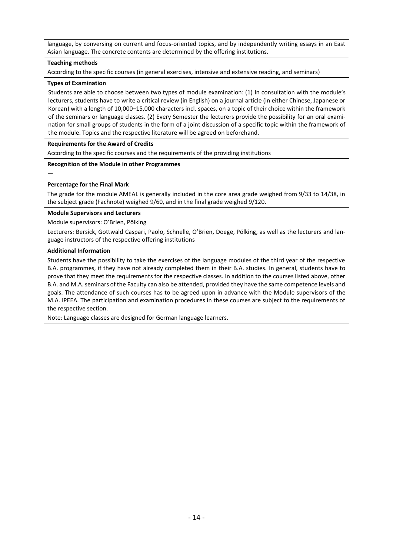language, by conversing on current and focus-oriented topics, and by independently writing essays in an East Asian language. The concrete contents are determined by the offering institutions.

#### **Teaching methods**

According to the specific courses (in general exercises, intensive and extensive reading, and seminars)

#### **Types of Examination**

Students are able to choose between two types of module examination: (1) In consultation with the module's lecturers, students have to write a critical review (in English) on a journal article (in either Chinese, Japanese or Korean) with a length of 10,000–15,000 characters incl. spaces, on a topic of their choice within the framework of the seminars or language classes. (2) Every Semester the lecturers provide the possibility for an oral examination for small groups of students in the form of a joint discussion of a specific topic within the framework of the module. Topics and the respective literature will be agreed on beforehand.

#### **Requirements for the Award of Credits**

According to the specific courses and the requirements of the providing institutions

#### **Recognition of the Module in other Programmes**

## **Percentage for the Final Mark**

—

The grade for the module AMEAL is generally included in the core area grade weighed from 9/33 to 14/38, in the subject grade (Fachnote) weighed 9/60, and in the final grade weighed 9/120.

#### **Module Supervisors and Lecturers**

Module supervisors: O'Brien, Pölking

Lecturers: Bersick, Gottwald Caspari, Paolo, Schnelle, O'Brien, Doege, Pölking, as well as the lecturers and language instructors of the respective offering institutions

#### **Additional Information**

Students have the possibility to take the exercises of the language modules of the third year of the respective B.A. programmes, if they have not already completed them in their B.A. studies. In general, students have to prove that they meet the requirements for the respective classes. In addition to the courses listed above, other B.A. and M.A. seminars of the Faculty can also be attended, provided they have the same competence levels and goals. The attendance of such courses has to be agreed upon in advance with the Module supervisors of the M.A. IPEEA. The participation and examination procedures in these courses are subject to the requirements of the respective section.

Note: Language classes are designed for German language learners.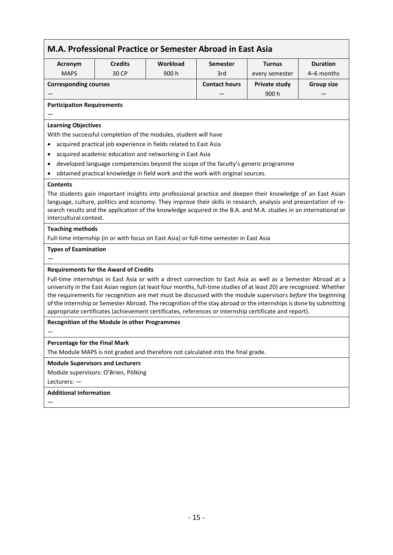| <b>Credits</b><br>Workload<br><b>Semester</b><br><b>Acronym</b><br>900h<br><b>MAPS</b><br>30 CP<br>3rd<br><b>Corresponding courses</b><br><b>Contact hours</b><br><b>Participation Requirements</b><br><b>Learning Objectives</b><br>With the successful completion of the modules, student will have<br>acquired practical job experience in fields related to East Asia<br>$\bullet$<br>acquired academic education and networking in East Asia<br>developed language competencies beyond the scope of the faculty's generic programme<br>obtained practical knowledge in field work and the work with original sources.<br><b>Contents</b><br>The students gain important insights into professional practice and deepen their knowledge of an East Asian<br>language, culture, politics and economy. They improve their skills in research, analysis and presentation of re-<br>search results and the application of the knowledge acquired in the B.A. and M.A. studies in an international or<br>intercultural context.<br><b>Teaching methods</b><br>Full-time internship (in or with focus on East Asia) or full-time semester in East Asia<br><b>Types of Examination</b><br><b>Requirements for the Award of Credits</b><br><b>Recognition of the Module in other Programmes</b><br>Percentage for the Final Mark<br><b>Module Supervisors and Lecturers</b><br>Module supervisors: O'Brien, Pölking | <b>Turnus</b>                                                                                                                                                                                                                                                                                                                                                                                                                                                                                                                                                                      | <b>Duration</b>   |  |  |  |  |
|-----------------------------------------------------------------------------------------------------------------------------------------------------------------------------------------------------------------------------------------------------------------------------------------------------------------------------------------------------------------------------------------------------------------------------------------------------------------------------------------------------------------------------------------------------------------------------------------------------------------------------------------------------------------------------------------------------------------------------------------------------------------------------------------------------------------------------------------------------------------------------------------------------------------------------------------------------------------------------------------------------------------------------------------------------------------------------------------------------------------------------------------------------------------------------------------------------------------------------------------------------------------------------------------------------------------------------------------------------------------------------------------------------------------|------------------------------------------------------------------------------------------------------------------------------------------------------------------------------------------------------------------------------------------------------------------------------------------------------------------------------------------------------------------------------------------------------------------------------------------------------------------------------------------------------------------------------------------------------------------------------------|-------------------|--|--|--|--|
|                                                                                                                                                                                                                                                                                                                                                                                                                                                                                                                                                                                                                                                                                                                                                                                                                                                                                                                                                                                                                                                                                                                                                                                                                                                                                                                                                                                                                 | every semester                                                                                                                                                                                                                                                                                                                                                                                                                                                                                                                                                                     | 4–6 months        |  |  |  |  |
|                                                                                                                                                                                                                                                                                                                                                                                                                                                                                                                                                                                                                                                                                                                                                                                                                                                                                                                                                                                                                                                                                                                                                                                                                                                                                                                                                                                                                 | <b>Private study</b>                                                                                                                                                                                                                                                                                                                                                                                                                                                                                                                                                               | <b>Group size</b> |  |  |  |  |
|                                                                                                                                                                                                                                                                                                                                                                                                                                                                                                                                                                                                                                                                                                                                                                                                                                                                                                                                                                                                                                                                                                                                                                                                                                                                                                                                                                                                                 | 900 h                                                                                                                                                                                                                                                                                                                                                                                                                                                                                                                                                                              |                   |  |  |  |  |
|                                                                                                                                                                                                                                                                                                                                                                                                                                                                                                                                                                                                                                                                                                                                                                                                                                                                                                                                                                                                                                                                                                                                                                                                                                                                                                                                                                                                                 |                                                                                                                                                                                                                                                                                                                                                                                                                                                                                                                                                                                    |                   |  |  |  |  |
|                                                                                                                                                                                                                                                                                                                                                                                                                                                                                                                                                                                                                                                                                                                                                                                                                                                                                                                                                                                                                                                                                                                                                                                                                                                                                                                                                                                                                 |                                                                                                                                                                                                                                                                                                                                                                                                                                                                                                                                                                                    |                   |  |  |  |  |
|                                                                                                                                                                                                                                                                                                                                                                                                                                                                                                                                                                                                                                                                                                                                                                                                                                                                                                                                                                                                                                                                                                                                                                                                                                                                                                                                                                                                                 |                                                                                                                                                                                                                                                                                                                                                                                                                                                                                                                                                                                    |                   |  |  |  |  |
|                                                                                                                                                                                                                                                                                                                                                                                                                                                                                                                                                                                                                                                                                                                                                                                                                                                                                                                                                                                                                                                                                                                                                                                                                                                                                                                                                                                                                 |                                                                                                                                                                                                                                                                                                                                                                                                                                                                                                                                                                                    |                   |  |  |  |  |
|                                                                                                                                                                                                                                                                                                                                                                                                                                                                                                                                                                                                                                                                                                                                                                                                                                                                                                                                                                                                                                                                                                                                                                                                                                                                                                                                                                                                                 |                                                                                                                                                                                                                                                                                                                                                                                                                                                                                                                                                                                    |                   |  |  |  |  |
|                                                                                                                                                                                                                                                                                                                                                                                                                                                                                                                                                                                                                                                                                                                                                                                                                                                                                                                                                                                                                                                                                                                                                                                                                                                                                                                                                                                                                 |                                                                                                                                                                                                                                                                                                                                                                                                                                                                                                                                                                                    |                   |  |  |  |  |
|                                                                                                                                                                                                                                                                                                                                                                                                                                                                                                                                                                                                                                                                                                                                                                                                                                                                                                                                                                                                                                                                                                                                                                                                                                                                                                                                                                                                                 |                                                                                                                                                                                                                                                                                                                                                                                                                                                                                                                                                                                    |                   |  |  |  |  |
|                                                                                                                                                                                                                                                                                                                                                                                                                                                                                                                                                                                                                                                                                                                                                                                                                                                                                                                                                                                                                                                                                                                                                                                                                                                                                                                                                                                                                 |                                                                                                                                                                                                                                                                                                                                                                                                                                                                                                                                                                                    |                   |  |  |  |  |
|                                                                                                                                                                                                                                                                                                                                                                                                                                                                                                                                                                                                                                                                                                                                                                                                                                                                                                                                                                                                                                                                                                                                                                                                                                                                                                                                                                                                                 |                                                                                                                                                                                                                                                                                                                                                                                                                                                                                                                                                                                    |                   |  |  |  |  |
|                                                                                                                                                                                                                                                                                                                                                                                                                                                                                                                                                                                                                                                                                                                                                                                                                                                                                                                                                                                                                                                                                                                                                                                                                                                                                                                                                                                                                 |                                                                                                                                                                                                                                                                                                                                                                                                                                                                                                                                                                                    |                   |  |  |  |  |
|                                                                                                                                                                                                                                                                                                                                                                                                                                                                                                                                                                                                                                                                                                                                                                                                                                                                                                                                                                                                                                                                                                                                                                                                                                                                                                                                                                                                                 |                                                                                                                                                                                                                                                                                                                                                                                                                                                                                                                                                                                    |                   |  |  |  |  |
|                                                                                                                                                                                                                                                                                                                                                                                                                                                                                                                                                                                                                                                                                                                                                                                                                                                                                                                                                                                                                                                                                                                                                                                                                                                                                                                                                                                                                 |                                                                                                                                                                                                                                                                                                                                                                                                                                                                                                                                                                                    |                   |  |  |  |  |
|                                                                                                                                                                                                                                                                                                                                                                                                                                                                                                                                                                                                                                                                                                                                                                                                                                                                                                                                                                                                                                                                                                                                                                                                                                                                                                                                                                                                                 |                                                                                                                                                                                                                                                                                                                                                                                                                                                                                                                                                                                    |                   |  |  |  |  |
|                                                                                                                                                                                                                                                                                                                                                                                                                                                                                                                                                                                                                                                                                                                                                                                                                                                                                                                                                                                                                                                                                                                                                                                                                                                                                                                                                                                                                 |                                                                                                                                                                                                                                                                                                                                                                                                                                                                                                                                                                                    |                   |  |  |  |  |
|                                                                                                                                                                                                                                                                                                                                                                                                                                                                                                                                                                                                                                                                                                                                                                                                                                                                                                                                                                                                                                                                                                                                                                                                                                                                                                                                                                                                                 |                                                                                                                                                                                                                                                                                                                                                                                                                                                                                                                                                                                    |                   |  |  |  |  |
|                                                                                                                                                                                                                                                                                                                                                                                                                                                                                                                                                                                                                                                                                                                                                                                                                                                                                                                                                                                                                                                                                                                                                                                                                                                                                                                                                                                                                 | Full-time internships in East Asia or with a direct connection to East Asia as well as a Semester Abroad at a<br>university in the East Asian region (at least four months, full-time studies of at least 20) are recognized. Whether<br>the requirements for recognition are met must be discussed with the module supervisors before the beginning<br>of the internship or Semester Abroad. The recognition of the stay abroad or the internships is done by submitting<br>appropriate certificates (achievement certificates, references or internship certificate and report). |                   |  |  |  |  |
|                                                                                                                                                                                                                                                                                                                                                                                                                                                                                                                                                                                                                                                                                                                                                                                                                                                                                                                                                                                                                                                                                                                                                                                                                                                                                                                                                                                                                 |                                                                                                                                                                                                                                                                                                                                                                                                                                                                                                                                                                                    |                   |  |  |  |  |
|                                                                                                                                                                                                                                                                                                                                                                                                                                                                                                                                                                                                                                                                                                                                                                                                                                                                                                                                                                                                                                                                                                                                                                                                                                                                                                                                                                                                                 |                                                                                                                                                                                                                                                                                                                                                                                                                                                                                                                                                                                    |                   |  |  |  |  |
|                                                                                                                                                                                                                                                                                                                                                                                                                                                                                                                                                                                                                                                                                                                                                                                                                                                                                                                                                                                                                                                                                                                                                                                                                                                                                                                                                                                                                 |                                                                                                                                                                                                                                                                                                                                                                                                                                                                                                                                                                                    |                   |  |  |  |  |
|                                                                                                                                                                                                                                                                                                                                                                                                                                                                                                                                                                                                                                                                                                                                                                                                                                                                                                                                                                                                                                                                                                                                                                                                                                                                                                                                                                                                                 | The Module MAPS is not graded and therefore not calculated into the final grade.                                                                                                                                                                                                                                                                                                                                                                                                                                                                                                   |                   |  |  |  |  |
|                                                                                                                                                                                                                                                                                                                                                                                                                                                                                                                                                                                                                                                                                                                                                                                                                                                                                                                                                                                                                                                                                                                                                                                                                                                                                                                                                                                                                 |                                                                                                                                                                                                                                                                                                                                                                                                                                                                                                                                                                                    |                   |  |  |  |  |
|                                                                                                                                                                                                                                                                                                                                                                                                                                                                                                                                                                                                                                                                                                                                                                                                                                                                                                                                                                                                                                                                                                                                                                                                                                                                                                                                                                                                                 |                                                                                                                                                                                                                                                                                                                                                                                                                                                                                                                                                                                    |                   |  |  |  |  |
| Lecturers: $-$                                                                                                                                                                                                                                                                                                                                                                                                                                                                                                                                                                                                                                                                                                                                                                                                                                                                                                                                                                                                                                                                                                                                                                                                                                                                                                                                                                                                  |                                                                                                                                                                                                                                                                                                                                                                                                                                                                                                                                                                                    |                   |  |  |  |  |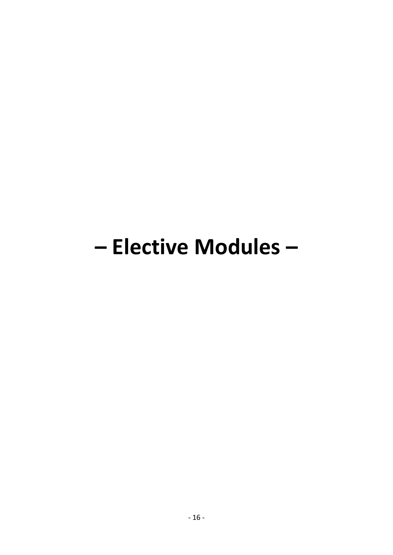# - Elective Modules -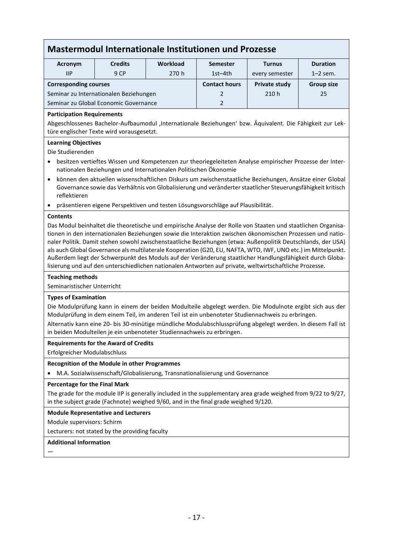# **Mastermodul Internationale Institutionen und Prozesse**

| Acronym                                | <b>Credits</b> | <b>Workload</b> | <b>Semester</b>      | <b>Turnus</b>  | <b>Duration</b>   |
|----------------------------------------|----------------|-----------------|----------------------|----------------|-------------------|
| <b>IIP</b>                             | 9 CP           | 270h            | $1st-4th$            | every semester | $1-2$ sem.        |
| <b>Corresponding courses</b>           |                |                 | <b>Contact hours</b> | Private study  | <b>Group size</b> |
| Seminar zu Internationalen Beziehungen |                |                 | $\mathcal{P}$        | 210h           | 25                |
| Seminar zu Global Economic Governance  |                |                 | $\mathcal{D}$        |                |                   |

#### **Participation Requirements**

Abgeschlossenes Bachelor-Aufbaumodul 'Internationale Beziehungen' bzw. Äquivalent. Die Fähigkeit zur Lektüre englischer Texte wird vorausgesetzt.

#### **Learning Objectives**

Die Studierenden

- besitzen vertieftes Wissen und Kompetenzen zur theoriegeleiteten Analyse empirischer Prozesse der Internationalen Beziehungen und Internationalen Politischen Ökonomie
- können den aktuellen wissenschaftlichen Diskurs um zwischenstaatliche Beziehungen, Ansätze einer Global Governance sowie das Verhältnis von Globalisierung und veränderter staatlicher Steuerungsfähigkeit kritisch reflektieren
- präsentieren eigene Perspektiven und testen Lösungsvorschläge auf Plausibilität.

#### **Contents**

Das Modul beinhaltet die theoretische und empirische Analyse der Rolle von Staaten und staatlichen Organisationen in den internationalen Beziehungen sowie die Interaktion zwischen ökonomischen Prozessen und nationaler Politik. Damit stehen sowohl zwischenstaatliche Beziehungen (etwa: Außenpolitik Deutschlands, der USA) als auch Global Governance als multilaterale Kooperation (G20, EU, NAFTA, WTO, IWF, UNO etc.) im Mittelpunkt. Außerdem liegt der Schwerpunkt des Moduls auf der Veränderung staatlicher Handlungsfähigkeit durch Globalisierung und auf den unterschiedlichen nationalen Antworten auf private, weltwirtschaftliche Prozesse.

#### **Teaching methods**

Seminaristischer Unterricht

## **Types of Examination**

Die Modulprüfung kann in einem der beiden Modulteile abgelegt werden. Die Modulnote ergibt sich aus der Modulprüfung in dem einem Teil, im anderen Teil ist ein unbenoteter Studiennachweis zu erbringen.

Alternativ kann eine 20- bis 30-minütige mündliche Modulabschlussprüfung abgelegt werden. In diesem Fall ist in beiden Modulteilen je ein unbenoteter Studiennachweis zu erbringen.

#### **Requirements for the Award of Credits**

Erfolgreicher Modulabschluss

#### **Recognition of the Module in other Programmes**

• M.A. Sozialwissenschaft/Globalisierung, Transnationalisierung und Governance

## **Percentage for the Final Mark**

The grade for the module IIP is generally included in the supplementary area grade weighed from 9/22 to 9/27, in the subject grade (Fachnote) weighed 9/60, and in the final grade weighed 9/120.

#### **Module Representative and Lecturers**

Module supervisors: Schirm

Lecturers: not stated by the providing faculty

## **Additional Information**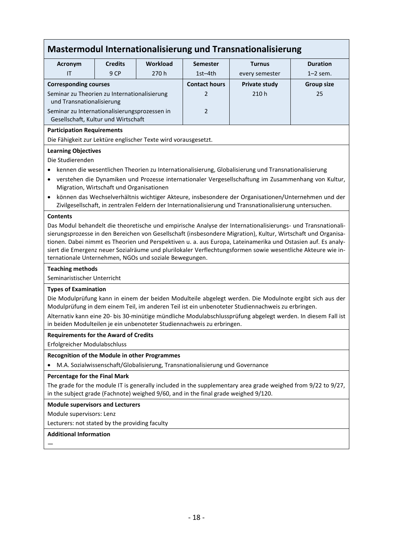# **Mastermodul Internationalisierung und Transnationalisierung**

| Acronym                                                                                                                                                                                                                      | <b>Credits</b>                                                                                      | Workload | <b>Semester</b>      | <b>Turnus</b>  | <b>Duration</b> |  |  |
|------------------------------------------------------------------------------------------------------------------------------------------------------------------------------------------------------------------------------|-----------------------------------------------------------------------------------------------------|----------|----------------------|----------------|-----------------|--|--|
| IT                                                                                                                                                                                                                           | 9 CP                                                                                                | 270h     | $1st-4th$            | every semester | $1-2$ sem.      |  |  |
| <b>Corresponding courses</b>                                                                                                                                                                                                 |                                                                                                     |          | <b>Contact hours</b> | Private study  | Group size      |  |  |
| Seminar zu Theorien zu Internationalisierung<br>und Transnationalisierung                                                                                                                                                    |                                                                                                     |          | $\mathcal{P}$        | 210h           | 25              |  |  |
| Seminar zu Internationalisierungsprozessen in<br>Gesellschaft, Kultur und Wirtschaft                                                                                                                                         |                                                                                                     |          | $\mathcal{P}$        |                |                 |  |  |
| <b>Participation Requirements</b>                                                                                                                                                                                            |                                                                                                     |          |                      |                |                 |  |  |
| Die Fähigkeit zur Lektüre englischer Texte wird vorausgesetzt.                                                                                                                                                               |                                                                                                     |          |                      |                |                 |  |  |
| <b>Learning Objectives</b>                                                                                                                                                                                                   |                                                                                                     |          |                      |                |                 |  |  |
| Die Studierenden                                                                                                                                                                                                             |                                                                                                     |          |                      |                |                 |  |  |
| $\bullet$                                                                                                                                                                                                                    | kennen die wesentlichen Theorien zu Internationalisierung, Globalisierung und Transnationalisierung |          |                      |                |                 |  |  |
| verstehen die Dynamiken und Prozesse internationaler Vergesellschaftung im Zusammenhang von Kultur,<br>$\bullet$<br>Migration, Wirtschaft und Organisationen                                                                 |                                                                                                     |          |                      |                |                 |  |  |
| können das Wechselverhältnis wichtiger Akteure, insbesondere der Organisationen/Unternehmen und der<br>$\bullet$<br>Zivilgesellschaft, in zentralen Feldern der Internationalisierung und Transnationalisierung untersuchen. |                                                                                                     |          |                      |                |                 |  |  |

#### **Contents**

Das Modul behandelt die theoretische und empirische Analyse der Internationalisierungs- und Transnationalisierungsprozesse in den Bereichen von Gesellschaft (insbesondere Migration), Kultur, Wirtschaft und Organisationen. Dabei nimmt es Theorien und Perspektiven u. a. aus Europa, Lateinamerika und Ostasien auf. Es analysiert die Emergenz neuer Sozialräume und plurilokaler Verflechtungsformen sowie wesentliche Akteure wie internationale Unternehmen, NGOs und soziale Bewegungen.

#### **Teaching methods**

Seminaristischer Unterricht

#### **Types of Examination**

Die Modulprüfung kann in einem der beiden Modulteile abgelegt werden. Die Modulnote ergibt sich aus der Modulprüfung in dem einem Teil, im anderen Teil ist ein unbenoteter Studiennachweis zu erbringen.

Alternativ kann eine 20- bis 30-minütige mündliche Modulabschlussprüfung abgelegt werden. In diesem Fall ist in beiden Modulteilen je ein unbenoteter Studiennachweis zu erbringen.

#### **Requirements for the Award of Credits**

Erfolgreicher Modulabschluss

#### **Recognition of the Module in other Programmes**

• M.A. Sozialwissenschaft/Globalisierung, Transnationalisierung und Governance

#### **Percentage for the Final Mark**

The grade for the module IT is generally included in the supplementary area grade weighed from 9/22 to 9/27, in the subject grade (Fachnote) weighed 9/60, and in the final grade weighed 9/120.

**Module supervisors and Lecturers**

Module supervisors: Lenz

Lecturers: not stated by the providing faculty

#### **Additional Information**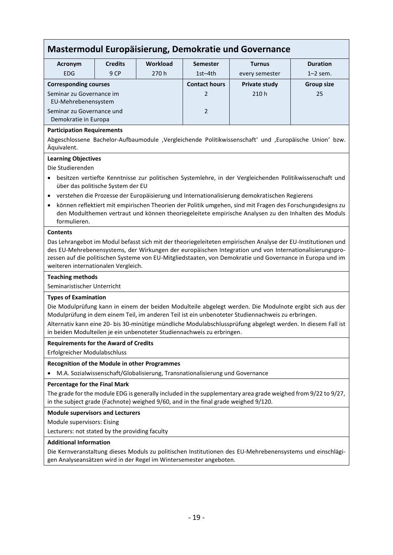# **Mastermodul Europäisierung, Demokratie und Governance**

| Acronym                                           | <b>Credits</b> | <b>Workload</b> | <b>Semester</b>      | <b>Turnus</b>  | <b>Duration</b>   |
|---------------------------------------------------|----------------|-----------------|----------------------|----------------|-------------------|
| <b>EDG</b>                                        | 9 CP           | 270h            | $1st-4th$            | every semester | $1-2$ sem.        |
| <b>Corresponding courses</b>                      |                |                 | <b>Contact hours</b> | Private study  | <b>Group size</b> |
| Seminar zu Governance im<br>EU-Mehrebenensystem   |                |                 | $\mathcal{P}$        | 210h           | 25                |
| Seminar zu Governance und<br>Demokratie in Europa |                | $\overline{2}$  |                      |                |                   |

#### **Participation Requirements**

Abgeschlossene Bachelor-Aufbaumodule ,Vergleichende Politikwissenschaft' und ,Europäische Union' bzw. Äquivalent.

#### **Learning Objectives**

Die Studierenden

- besitzen vertiefte Kenntnisse zur politischen Systemlehre, in der Vergleichenden Politikwissenschaft und über das politische System der EU
- verstehen die Prozesse der Europäisierung und Internationalisierung demokratischen Regierens
- können reflektiert mit empirischen Theorien der Politik umgehen, sind mit Fragen des Forschungsdesigns zu den Modulthemen vertraut und können theoriegeleitete empirische Analysen zu den Inhalten des Moduls formulieren.

#### **Contents**

Das Lehrangebot im Modul befasst sich mit der theoriegeleiteten empirischen Analyse der EU-Institutionen und des EU-Mehrebenensystems, der Wirkungen der europäischen Integration und von Internationalisierungsprozessen auf die politischen Systeme von EU-Mitgliedstaaten, von Demokratie und Governance in Europa und im weiteren internationalen Vergleich.

### **Teaching methods**

Seminaristischer Unterricht

#### **Types of Examination**

Die Modulprüfung kann in einem der beiden Modulteile abgelegt werden. Die Modulnote ergibt sich aus der Modulprüfung in dem einem Teil, im anderen Teil ist ein unbenoteter Studiennachweis zu erbringen.

Alternativ kann eine 20- bis 30-minütige mündliche Modulabschlussprüfung abgelegt werden. In diesem Fall ist in beiden Modulteilen je ein unbenoteter Studiennachweis zu erbringen.

#### **Requirements for the Award of Credits**

Erfolgreicher Modulabschluss

#### **Recognition of the Module in other Programmes**

• M.A. Sozialwissenschaft/Globalisierung, Transnationalisierung und Governance

## **Percentage for the Final Mark**

The grade for the module EDG is generally included in the supplementary area grade weighed from 9/22 to 9/27, in the subject grade (Fachnote) weighed 9/60, and in the final grade weighed 9/120.

**Module supervisors and Lecturers**

Module supervisors: Eising

Lecturers: not stated by the providing faculty

## **Additional Information**

Die Kernveranstaltung dieses Moduls zu politischen Institutionen des EU-Mehrebenensystems und einschlägigen Analyseansätzen wird in der Regel im Wintersemester angeboten.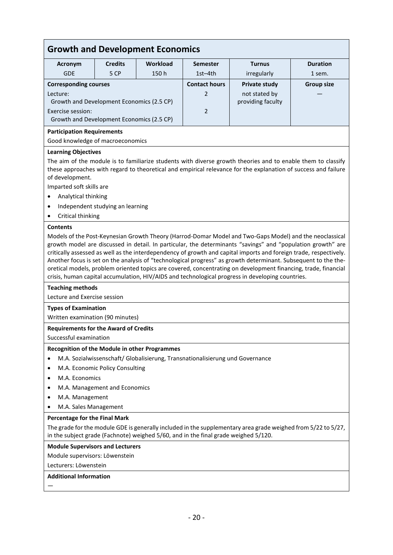# **Growth and Development Economics**

| Acronym                                   | <b>Credits</b> | Workload | <b>Semester</b>          | <b>Turnus</b>     | <b>Duration</b>   |
|-------------------------------------------|----------------|----------|--------------------------|-------------------|-------------------|
| <b>GDE</b>                                | 5 CP           | 150h     | $1st-4th$                | irregularly       | 1 sem.            |
| <b>Corresponding courses</b>              |                |          | <b>Contact hours</b>     | Private study     | <b>Group size</b> |
| Lecture:                                  |                |          | $\overline{\phantom{0}}$ | not stated by     |                   |
| Growth and Development Economics (2.5 CP) |                |          |                          | providing faculty |                   |
| Exercise session:                         |                |          | $\mathcal{P}$            |                   |                   |
| Growth and Development Economics (2.5 CP) |                |          |                          |                   |                   |
|                                           |                |          |                          |                   |                   |

#### **Participation Requirements**

Good knowledge of macroeconomics

#### **Learning Objectives**

The aim of the module is to familiarize students with diverse growth theories and to enable them to classify these approaches with regard to theoretical and empirical relevance for the explanation of success and failure of development.

Imparted soft skills are

- Analytical thinking
- Independent studying an learning
- Critical thinking

#### **Contents**

Models of the Post-Keynesian Growth Theory (Harrod-Domar Model and Two-Gaps Model) and the neoclassical growth model are discussed in detail. In particular, the determinants "savings" and "population growth" are critically assessed as well as the interdependency of growth and capital imports and foreign trade, respectively. Another focus is set on the analysis of "technological progress" as growth determinant. Subsequent to the theoretical models, problem oriented topics are covered, concentrating on development financing, trade, financial crisis, human capital accumulation, HIV/AIDS and technological progress in developing countries.

#### **Teaching methods**

Lecture and Exercise session

#### **Types of Examination**

Written examination (90 minutes)

#### **Requirements for the Award of Credits**

Successful examination

#### **Recognition of the Module in other Programmes**

- M.A. Sozialwissenschaft/ Globalisierung, Transnationalisierung und Governance
- M.A. Economic Policy Consulting
- M.A. Economics
- M.A. Management and Economics
- M.A. Management
- M.A. Sales Management

#### **Percentage for the Final Mark**

The grade for the module GDE is generally included in the supplementary area grade weighed from 5/22 to 5/27, in the subject grade (Fachnote) weighed 5/60, and in the final grade weighed 5/120.

#### **Module Supervisors and Lecturers**

Module supervisors: Löwenstein

Lecturers: Löwenstein

### **Additional Information**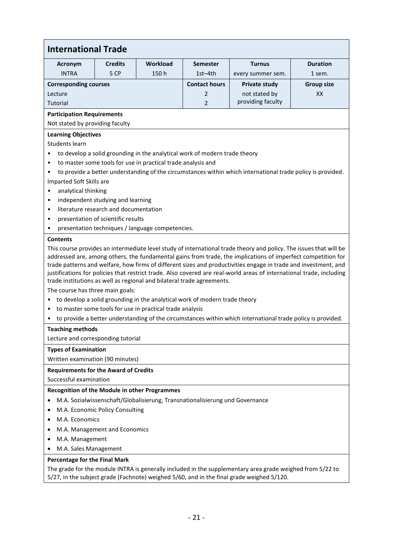| <b>International Trade</b>                           |                                                                                                                                                                                                                                                                                                                                                                                                                                                                                                                                                                                                                                                                                                                                                                                                                                                      |                                                              |                                                                              |                                                                                                             |                   |  |  |
|------------------------------------------------------|------------------------------------------------------------------------------------------------------------------------------------------------------------------------------------------------------------------------------------------------------------------------------------------------------------------------------------------------------------------------------------------------------------------------------------------------------------------------------------------------------------------------------------------------------------------------------------------------------------------------------------------------------------------------------------------------------------------------------------------------------------------------------------------------------------------------------------------------------|--------------------------------------------------------------|------------------------------------------------------------------------------|-------------------------------------------------------------------------------------------------------------|-------------------|--|--|
|                                                      | <b>Workload</b><br><b>Duration</b><br><b>Credits</b><br><b>Semester</b><br><b>Turnus</b><br>Acronym                                                                                                                                                                                                                                                                                                                                                                                                                                                                                                                                                                                                                                                                                                                                                  |                                                              |                                                                              |                                                                                                             |                   |  |  |
| <b>INTRA</b>                                         | 5 CP                                                                                                                                                                                                                                                                                                                                                                                                                                                                                                                                                                                                                                                                                                                                                                                                                                                 | 150h                                                         | $1st-4th$                                                                    | every summer sem.                                                                                           | 1 sem.            |  |  |
| <b>Corresponding courses</b>                         |                                                                                                                                                                                                                                                                                                                                                                                                                                                                                                                                                                                                                                                                                                                                                                                                                                                      |                                                              | <b>Contact hours</b>                                                         | <b>Private study</b>                                                                                        | <b>Group size</b> |  |  |
| Lecture                                              |                                                                                                                                                                                                                                                                                                                                                                                                                                                                                                                                                                                                                                                                                                                                                                                                                                                      |                                                              | 2                                                                            | not stated by                                                                                               | XX                |  |  |
| Tutorial                                             |                                                                                                                                                                                                                                                                                                                                                                                                                                                                                                                                                                                                                                                                                                                                                                                                                                                      |                                                              | $\overline{2}$                                                               | providing faculty                                                                                           |                   |  |  |
| <b>Participation Requirements</b>                    |                                                                                                                                                                                                                                                                                                                                                                                                                                                                                                                                                                                                                                                                                                                                                                                                                                                      |                                                              |                                                                              |                                                                                                             |                   |  |  |
| Not stated by providing faculty                      |                                                                                                                                                                                                                                                                                                                                                                                                                                                                                                                                                                                                                                                                                                                                                                                                                                                      |                                                              |                                                                              |                                                                                                             |                   |  |  |
| <b>Learning Objectives</b>                           |                                                                                                                                                                                                                                                                                                                                                                                                                                                                                                                                                                                                                                                                                                                                                                                                                                                      |                                                              |                                                                              |                                                                                                             |                   |  |  |
| Students learn                                       |                                                                                                                                                                                                                                                                                                                                                                                                                                                                                                                                                                                                                                                                                                                                                                                                                                                      |                                                              |                                                                              |                                                                                                             |                   |  |  |
|                                                      |                                                                                                                                                                                                                                                                                                                                                                                                                                                                                                                                                                                                                                                                                                                                                                                                                                                      |                                                              | to develop a solid grounding in the analytical work of modern trade theory   |                                                                                                             |                   |  |  |
| $\bullet$                                            |                                                                                                                                                                                                                                                                                                                                                                                                                                                                                                                                                                                                                                                                                                                                                                                                                                                      | to master some tools for use in practical trade analysis and |                                                                              |                                                                                                             |                   |  |  |
| $\bullet$                                            |                                                                                                                                                                                                                                                                                                                                                                                                                                                                                                                                                                                                                                                                                                                                                                                                                                                      |                                                              |                                                                              | to provide a better understanding of the circumstances within which international trade policy is provided. |                   |  |  |
| Imparted Soft Skills are                             |                                                                                                                                                                                                                                                                                                                                                                                                                                                                                                                                                                                                                                                                                                                                                                                                                                                      |                                                              |                                                                              |                                                                                                             |                   |  |  |
| analytical thinking<br>$\bullet$                     |                                                                                                                                                                                                                                                                                                                                                                                                                                                                                                                                                                                                                                                                                                                                                                                                                                                      |                                                              |                                                                              |                                                                                                             |                   |  |  |
| $\bullet$                                            | independent studying and learning                                                                                                                                                                                                                                                                                                                                                                                                                                                                                                                                                                                                                                                                                                                                                                                                                    |                                                              |                                                                              |                                                                                                             |                   |  |  |
| $\bullet$                                            | literature research and documentation                                                                                                                                                                                                                                                                                                                                                                                                                                                                                                                                                                                                                                                                                                                                                                                                                |                                                              |                                                                              |                                                                                                             |                   |  |  |
| $\bullet$                                            | presentation of scientific results                                                                                                                                                                                                                                                                                                                                                                                                                                                                                                                                                                                                                                                                                                                                                                                                                   |                                                              |                                                                              |                                                                                                             |                   |  |  |
| $\bullet$<br><b>Contents</b>                         |                                                                                                                                                                                                                                                                                                                                                                                                                                                                                                                                                                                                                                                                                                                                                                                                                                                      | presentation techniques / language competencies.             |                                                                              |                                                                                                             |                   |  |  |
| $\bullet$<br>$\bullet$                               | This course provides an intermediate level study of international trade theory and policy. The issues that will be<br>addressed are, among others, the fundamental gains from trade, the implications of imperfect competition for<br>trade patterns and welfare, how firms of different sizes and productivities engage in trade and investment, and<br>justifications for policies that restrict trade. Also covered are real-world areas of international trade, including<br>trade institutions as well as regional and bilateral trade agreements.<br>The course has three main goals:<br>to develop a solid grounding in the analytical work of modern trade theory<br>to master some tools for use in practical trade analysis<br>to provide a better understanding of the circumstances within which international trade policy is provided. |                                                              |                                                                              |                                                                                                             |                   |  |  |
| <b>Teaching methods</b>                              |                                                                                                                                                                                                                                                                                                                                                                                                                                                                                                                                                                                                                                                                                                                                                                                                                                                      |                                                              |                                                                              |                                                                                                             |                   |  |  |
| Lecture and corresponding tutorial                   |                                                                                                                                                                                                                                                                                                                                                                                                                                                                                                                                                                                                                                                                                                                                                                                                                                                      |                                                              |                                                                              |                                                                                                             |                   |  |  |
| <b>Types of Examination</b>                          |                                                                                                                                                                                                                                                                                                                                                                                                                                                                                                                                                                                                                                                                                                                                                                                                                                                      |                                                              |                                                                              |                                                                                                             |                   |  |  |
| Written examination (90 minutes)                     |                                                                                                                                                                                                                                                                                                                                                                                                                                                                                                                                                                                                                                                                                                                                                                                                                                                      |                                                              |                                                                              |                                                                                                             |                   |  |  |
| <b>Requirements for the Award of Credits</b>         |                                                                                                                                                                                                                                                                                                                                                                                                                                                                                                                                                                                                                                                                                                                                                                                                                                                      |                                                              |                                                                              |                                                                                                             |                   |  |  |
| Successful examination                               |                                                                                                                                                                                                                                                                                                                                                                                                                                                                                                                                                                                                                                                                                                                                                                                                                                                      |                                                              |                                                                              |                                                                                                             |                   |  |  |
| <b>Recognition of the Module in other Programmes</b> |                                                                                                                                                                                                                                                                                                                                                                                                                                                                                                                                                                                                                                                                                                                                                                                                                                                      |                                                              |                                                                              |                                                                                                             |                   |  |  |
|                                                      |                                                                                                                                                                                                                                                                                                                                                                                                                                                                                                                                                                                                                                                                                                                                                                                                                                                      |                                                              | M.A. Sozialwissenschaft/Globalisierung, Transnationalisierung und Governance |                                                                                                             |                   |  |  |
| ٠                                                    | M.A. Economic Policy Consulting                                                                                                                                                                                                                                                                                                                                                                                                                                                                                                                                                                                                                                                                                                                                                                                                                      |                                                              |                                                                              |                                                                                                             |                   |  |  |
| M.A. Economics<br>٠                                  |                                                                                                                                                                                                                                                                                                                                                                                                                                                                                                                                                                                                                                                                                                                                                                                                                                                      |                                                              |                                                                              |                                                                                                             |                   |  |  |
| ٠                                                    | M.A. Management and Economics                                                                                                                                                                                                                                                                                                                                                                                                                                                                                                                                                                                                                                                                                                                                                                                                                        |                                                              |                                                                              |                                                                                                             |                   |  |  |
| M.A. Management<br>$\bullet$                         |                                                                                                                                                                                                                                                                                                                                                                                                                                                                                                                                                                                                                                                                                                                                                                                                                                                      |                                                              |                                                                              |                                                                                                             |                   |  |  |
| M.A. Sales Management                                |                                                                                                                                                                                                                                                                                                                                                                                                                                                                                                                                                                                                                                                                                                                                                                                                                                                      |                                                              |                                                                              |                                                                                                             |                   |  |  |
| Percentage for the Final Mark                        |                                                                                                                                                                                                                                                                                                                                                                                                                                                                                                                                                                                                                                                                                                                                                                                                                                                      |                                                              |                                                                              |                                                                                                             |                   |  |  |

The grade for the module INTRA is generally included in the supplementary area grade weighed from 5/22 to 5/27, in the subject grade (Fachnote) weighed 5/60, and in the final grade weighed 5/120.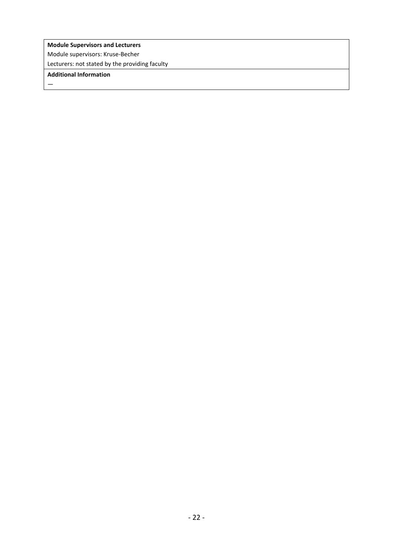**Module Supervisors and Lecturers** Module supervisors: Kruse-Becher Lecturers: not stated by the providing faculty

# **Additional Information**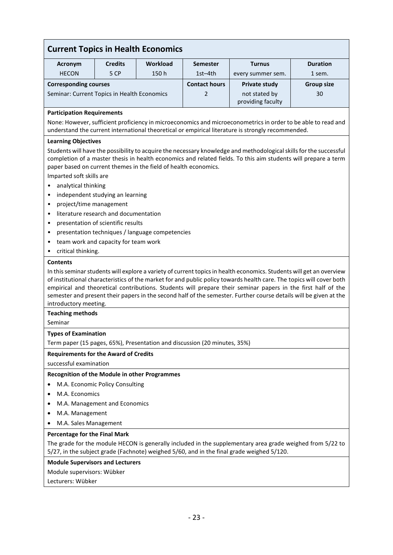| <b>Current Topics in Health Economics</b>                                 |                                       |                                                 |                      |                                                                                                                                                                                                                                                                                                                                                                                                                                                                                   |                   |  |
|---------------------------------------------------------------------------|---------------------------------------|-------------------------------------------------|----------------------|-----------------------------------------------------------------------------------------------------------------------------------------------------------------------------------------------------------------------------------------------------------------------------------------------------------------------------------------------------------------------------------------------------------------------------------------------------------------------------------|-------------------|--|
| Acronym                                                                   | <b>Credits</b>                        | Workload                                        | <b>Semester</b>      | <b>Turnus</b>                                                                                                                                                                                                                                                                                                                                                                                                                                                                     | <b>Duration</b>   |  |
| <b>HECON</b>                                                              | 5 CP                                  | 150h                                            | $1st-4th$            | every summer sem.                                                                                                                                                                                                                                                                                                                                                                                                                                                                 | 1 sem.            |  |
| <b>Corresponding courses</b>                                              |                                       |                                                 | <b>Contact hours</b> | <b>Private study</b>                                                                                                                                                                                                                                                                                                                                                                                                                                                              | <b>Group size</b> |  |
| Seminar: Current Topics in Health Economics                               |                                       |                                                 | 2                    | not stated by                                                                                                                                                                                                                                                                                                                                                                                                                                                                     | 30                |  |
|                                                                           |                                       |                                                 |                      | providing faculty                                                                                                                                                                                                                                                                                                                                                                                                                                                                 |                   |  |
| <b>Participation Requirements</b>                                         |                                       |                                                 |                      |                                                                                                                                                                                                                                                                                                                                                                                                                                                                                   |                   |  |
|                                                                           |                                       |                                                 |                      | None: However, sufficient proficiency in microeconomics and microeconometrics in order to be able to read and<br>understand the current international theoretical or empirical literature is strongly recommended.                                                                                                                                                                                                                                                                |                   |  |
| <b>Learning Objectives</b>                                                |                                       |                                                 |                      |                                                                                                                                                                                                                                                                                                                                                                                                                                                                                   |                   |  |
|                                                                           |                                       |                                                 |                      | Students will have the possibility to acquire the necessary knowledge and methodological skills for the successful                                                                                                                                                                                                                                                                                                                                                                |                   |  |
|                                                                           |                                       |                                                 |                      | completion of a master thesis in health economics and related fields. To this aim students will prepare a term                                                                                                                                                                                                                                                                                                                                                                    |                   |  |
| paper based on current themes in the field of health economics.           |                                       |                                                 |                      |                                                                                                                                                                                                                                                                                                                                                                                                                                                                                   |                   |  |
| Imparted soft skills are                                                  |                                       |                                                 |                      |                                                                                                                                                                                                                                                                                                                                                                                                                                                                                   |                   |  |
| analytical thinking                                                       |                                       |                                                 |                      |                                                                                                                                                                                                                                                                                                                                                                                                                                                                                   |                   |  |
| ٠<br>project/time management                                              | independent studying an learning      |                                                 |                      |                                                                                                                                                                                                                                                                                                                                                                                                                                                                                   |                   |  |
|                                                                           | literature research and documentation |                                                 |                      |                                                                                                                                                                                                                                                                                                                                                                                                                                                                                   |                   |  |
|                                                                           | presentation of scientific results    |                                                 |                      |                                                                                                                                                                                                                                                                                                                                                                                                                                                                                   |                   |  |
|                                                                           |                                       | presentation techniques / language competencies |                      |                                                                                                                                                                                                                                                                                                                                                                                                                                                                                   |                   |  |
|                                                                           | team work and capacity for team work  |                                                 |                      |                                                                                                                                                                                                                                                                                                                                                                                                                                                                                   |                   |  |
| critical thinking.<br>٠                                                   |                                       |                                                 |                      |                                                                                                                                                                                                                                                                                                                                                                                                                                                                                   |                   |  |
| <b>Contents</b>                                                           |                                       |                                                 |                      |                                                                                                                                                                                                                                                                                                                                                                                                                                                                                   |                   |  |
| introductory meeting.                                                     |                                       |                                                 |                      | In this seminar students will explore a variety of current topics in health economics. Students will get an overview<br>of institutional characteristics of the market for and public policy towards health care. The topics will cover both<br>empirical and theoretical contributions. Students will prepare their seminar papers in the first half of the<br>semester and present their papers in the second half of the semester. Further course details will be given at the |                   |  |
| <b>Teaching methods</b>                                                   |                                       |                                                 |                      |                                                                                                                                                                                                                                                                                                                                                                                                                                                                                   |                   |  |
| Seminar                                                                   |                                       |                                                 |                      |                                                                                                                                                                                                                                                                                                                                                                                                                                                                                   |                   |  |
| <b>Types of Examination</b>                                               |                                       |                                                 |                      |                                                                                                                                                                                                                                                                                                                                                                                                                                                                                   |                   |  |
| Term paper (15 pages, 65%), Presentation and discussion (20 minutes, 35%) |                                       |                                                 |                      |                                                                                                                                                                                                                                                                                                                                                                                                                                                                                   |                   |  |
| <b>Requirements for the Award of Credits</b>                              |                                       |                                                 |                      |                                                                                                                                                                                                                                                                                                                                                                                                                                                                                   |                   |  |
| successful examination                                                    |                                       |                                                 |                      |                                                                                                                                                                                                                                                                                                                                                                                                                                                                                   |                   |  |
| <b>Recognition of the Module in other Programmes</b>                      |                                       |                                                 |                      |                                                                                                                                                                                                                                                                                                                                                                                                                                                                                   |                   |  |
|                                                                           | M.A. Economic Policy Consulting       |                                                 |                      |                                                                                                                                                                                                                                                                                                                                                                                                                                                                                   |                   |  |
| M.A. Economics                                                            |                                       |                                                 |                      |                                                                                                                                                                                                                                                                                                                                                                                                                                                                                   |                   |  |
|                                                                           | M.A. Management and Economics         |                                                 |                      |                                                                                                                                                                                                                                                                                                                                                                                                                                                                                   |                   |  |
| M.A. Management                                                           |                                       |                                                 |                      |                                                                                                                                                                                                                                                                                                                                                                                                                                                                                   |                   |  |
| M.A. Sales Management                                                     |                                       |                                                 |                      |                                                                                                                                                                                                                                                                                                                                                                                                                                                                                   |                   |  |
| Percentage for the Final Mark                                             |                                       |                                                 |                      |                                                                                                                                                                                                                                                                                                                                                                                                                                                                                   |                   |  |
|                                                                           |                                       |                                                 |                      | The grade for the module HECON is generally included in the supplementary area grade weighed from 5/22 to<br>5/27, in the subject grade (Fachnote) weighed 5/60, and in the final grade weighed 5/120.                                                                                                                                                                                                                                                                            |                   |  |
| <b>Module Supervisors and Lecturers</b>                                   |                                       |                                                 |                      |                                                                                                                                                                                                                                                                                                                                                                                                                                                                                   |                   |  |
| Module supervisors: Wübker                                                |                                       |                                                 |                      |                                                                                                                                                                                                                                                                                                                                                                                                                                                                                   |                   |  |
| Lecturers: Wübker                                                         |                                       |                                                 |                      |                                                                                                                                                                                                                                                                                                                                                                                                                                                                                   |                   |  |
|                                                                           |                                       |                                                 |                      |                                                                                                                                                                                                                                                                                                                                                                                                                                                                                   |                   |  |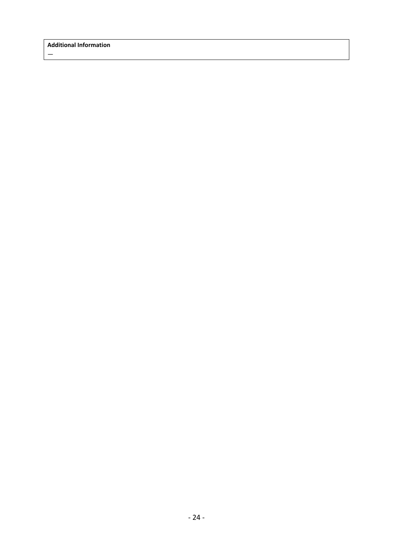$\frac{1}{2}$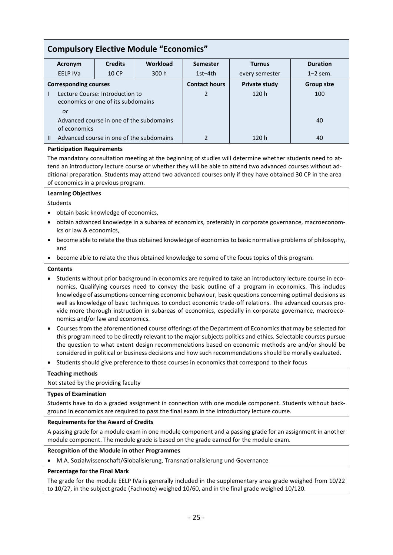| <b>Compulsory Elective Module "Economics"</b>                                                                                                                                                                                                                                                                                                                                                                                                                    |                              |          |                 |                      |                   |  |  |
|------------------------------------------------------------------------------------------------------------------------------------------------------------------------------------------------------------------------------------------------------------------------------------------------------------------------------------------------------------------------------------------------------------------------------------------------------------------|------------------------------|----------|-----------------|----------------------|-------------------|--|--|
| Acronym                                                                                                                                                                                                                                                                                                                                                                                                                                                          | <b>Credits</b>               | Workload | <b>Semester</b> | <b>Turnus</b>        | <b>Duration</b>   |  |  |
| <b>EELP IVa</b>                                                                                                                                                                                                                                                                                                                                                                                                                                                  | 10 CP                        | 300 h    | $1st-4th$       | every semester       | $1-2$ sem.        |  |  |
|                                                                                                                                                                                                                                                                                                                                                                                                                                                                  | <b>Corresponding courses</b> |          |                 | <b>Private study</b> | <b>Group size</b> |  |  |
| Lecture Course: Introduction to<br>economics or one of its subdomains<br>or<br>Advanced course in one of the subdomains<br>of economics                                                                                                                                                                                                                                                                                                                          |                              |          | 2               | 120h                 | 100<br>40         |  |  |
| $\mathbf{H}$                                                                                                                                                                                                                                                                                                                                                                                                                                                     |                              |          | $\mathcal{P}$   | 120 h                | 40                |  |  |
| Advanced course in one of the subdomains<br><b>Participation Requirements</b><br>The mandatory consultation meeting at the beginning of studies will determine whether students need to at-<br>tend an introductory lecture course or whether they will be able to attend two advanced courses without ad-<br>ditional preparation. Students may attend two advanced courses only if they have obtained 30 CP in the area<br>of economics in a previous program. |                              |          |                 |                      |                   |  |  |

# **Learning Objectives**

#### Students

- obtain basic knowledge of economics,
- obtain advanced knowledge in a subarea of economics, preferably in corporate governance, macroeconomics or law & economics,
- become able to relate the thus obtained knowledge of economics to basic normative problems of philosophy, and
- become able to relate the thus obtained knowledge to some of the focus topics of this program.

#### **Contents**

- Students without prior background in economics are required to take an introductory lecture course in economics. Qualifying courses need to convey the basic outline of a program in economics. This includes knowledge of assumptions concerning economic behaviour, basic questions concerning optimal decisions as well as knowledge of basic techniques to conduct economic trade-off relations. The advanced courses provide more thorough instruction in subareas of economics, especially in corporate governance, macroeconomics and/or law and economics.
- Courses from the aforementioned course offerings of the Department of Economics that may be selected for this program need to be directly relevant to the major subjects politics and ethics. Selectable courses pursue the question to what extent design recommendations based on economic methods are and/or should be considered in political or business decisions and how such recommendations should be morally evaluated.
- Students should give preference to those courses in economics that correspond to their focus

## **Teaching methods**

Not stated by the providing faculty

#### **Types of Examination**

Students have to do a graded assignment in connection with one module component. Students without background in economics are required to pass the final exam in the introductory lecture course.

#### **Requirements for the Award of Credits**

A passing grade for a module exam in one module component and a passing grade for an assignment in another module component. The module grade is based on the grade earned for the module exam.

## **Recognition of the Module in other Programmes**

• M.A. Sozialwissenschaft/Globalisierung, Transnationalisierung und Governance

## **Percentage for the Final Mark**

The grade for the module EELP IVa is generally included in the supplementary area grade weighed from 10/22 to 10/27, in the subject grade (Fachnote) weighed 10/60, and in the final grade weighed 10/120.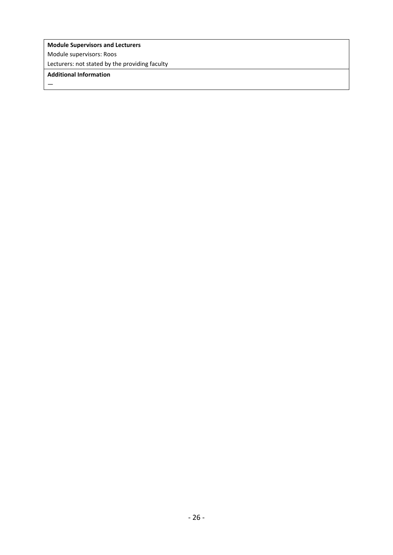# **Module Supervisors and Lecturers**

Module supervisors: Roos

Lecturers: not stated by the providing faculty

# **Additional Information**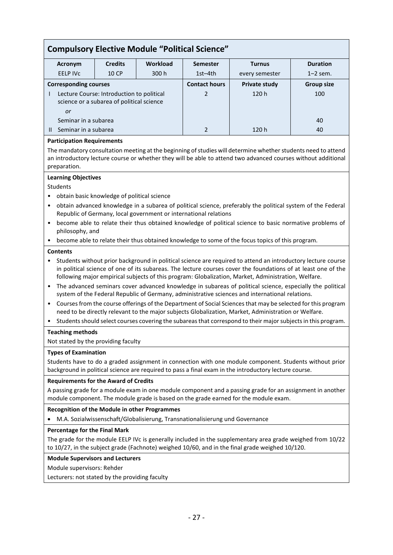| <b>Compulsory Elective Module "Political Science"</b>                                        |                 |                |                      |                      |                   |                 |  |
|----------------------------------------------------------------------------------------------|-----------------|----------------|----------------------|----------------------|-------------------|-----------------|--|
|                                                                                              | Acronym         | <b>Credits</b> | Workload             | <b>Semester</b>      | <b>Turnus</b>     | <b>Duration</b> |  |
|                                                                                              | <b>EELP IVC</b> | 10 CP          | 300h                 | $1st-4th$            | every semester    | $1-2$ sem.      |  |
| <b>Corresponding courses</b>                                                                 |                 |                | <b>Contact hours</b> | <b>Private study</b> | <b>Group size</b> |                 |  |
| Lecture Course: Introduction to political<br>science or a subarea of political science<br>or |                 |                | 2                    | 120h                 | 100               |                 |  |
| Seminar in a subarea                                                                         |                 |                |                      |                      | 40                |                 |  |
| Seminar in a subarea                                                                         |                 |                | 2                    | 120h                 | 40                |                 |  |

## **Participation Requirements**

The mandatory consultation meeting at the beginning of studies will determine whether students need to attend an introductory lecture course or whether they will be able to attend two advanced courses without additional preparation.

#### **Learning Objectives**

## **Students**

- obtain basic knowledge of political science
- obtain advanced knowledge in a subarea of political science, preferably the political system of the Federal Republic of Germany, local government or international relations
- become able to relate their thus obtained knowledge of political science to basic normative problems of philosophy, and
- become able to relate their thus obtained knowledge to some of the focus topics of this program.

#### **Contents**

- Students without prior background in political science are required to attend an introductory lecture course in political science of one of its subareas. The lecture courses cover the foundations of at least one of the following major empirical subjects of this program: Globalization, Market, Administration, Welfare.
- The advanced seminars cover advanced knowledge in subareas of political science, especially the political system of the Federal Republic of Germany, administrative sciences and international relations.
- Courses from the course offerings of the Department of Social Sciences that may be selected for this program need to be directly relevant to the major subjects Globalization, Market, Administration or Welfare.
- Students should select courses covering the subareas that correspond to their major subjects in this program.

## **Teaching methods**

Not stated by the providing faculty

#### **Types of Examination**

Students have to do a graded assignment in connection with one module component. Students without prior background in political science are required to pass a final exam in the introductory lecture course.

## **Requirements for the Award of Credits**

A passing grade for a module exam in one module component and a passing grade for an assignment in another module component. The module grade is based on the grade earned for the module exam.

#### **Recognition of the Module in other Programmes**

• M.A. Sozialwissenschaft/Globalisierung, Transnationalisierung und Governance

#### **Percentage for the Final Mark**

The grade for the module EELP IVc is generally included in the supplementary area grade weighed from 10/22 to 10/27, in the subject grade (Fachnote) weighed 10/60, and in the final grade weighed 10/120.

#### **Module Supervisors and Lecturers**

Module supervisors: Rehder

Lecturers: not stated by the providing faculty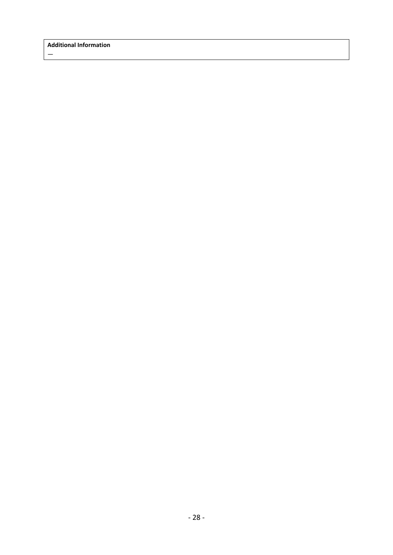$\frac{1}{2}$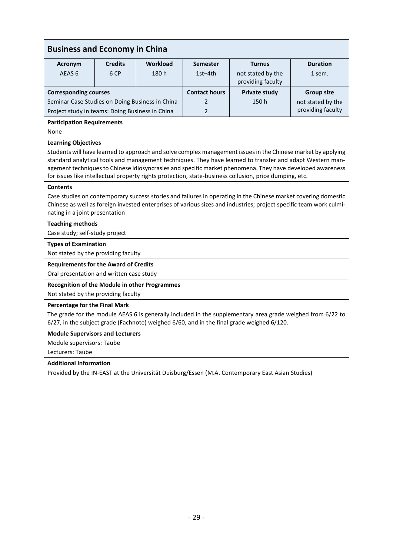| <b>Business and Economy in China</b>                                                                                                                                                                                                                                                                                                                                                                                                                                           |                                   |                                                                 |                      |                                                                                                                                                                                                                                      |                   |  |  |  |
|--------------------------------------------------------------------------------------------------------------------------------------------------------------------------------------------------------------------------------------------------------------------------------------------------------------------------------------------------------------------------------------------------------------------------------------------------------------------------------|-----------------------------------|-----------------------------------------------------------------|----------------------|--------------------------------------------------------------------------------------------------------------------------------------------------------------------------------------------------------------------------------------|-------------------|--|--|--|
| <b>Acronym</b>                                                                                                                                                                                                                                                                                                                                                                                                                                                                 | <b>Credits</b>                    | Workload<br><b>Duration</b><br><b>Semester</b><br><b>Turnus</b> |                      |                                                                                                                                                                                                                                      |                   |  |  |  |
| AEAS <sub>6</sub>                                                                                                                                                                                                                                                                                                                                                                                                                                                              | 6 CP                              | 180 h                                                           | $1st-4th$            | not stated by the<br>providing faculty                                                                                                                                                                                               | 1 sem.            |  |  |  |
| <b>Corresponding courses</b>                                                                                                                                                                                                                                                                                                                                                                                                                                                   |                                   |                                                                 | <b>Contact hours</b> | <b>Private study</b>                                                                                                                                                                                                                 | <b>Group size</b> |  |  |  |
| Seminar Case Studies on Doing Business in China                                                                                                                                                                                                                                                                                                                                                                                                                                |                                   |                                                                 | 2                    | 150h                                                                                                                                                                                                                                 | not stated by the |  |  |  |
| Project study in teams: Doing Business in China                                                                                                                                                                                                                                                                                                                                                                                                                                |                                   |                                                                 | $\overline{2}$       |                                                                                                                                                                                                                                      | providing faculty |  |  |  |
| None                                                                                                                                                                                                                                                                                                                                                                                                                                                                           | <b>Participation Requirements</b> |                                                                 |                      |                                                                                                                                                                                                                                      |                   |  |  |  |
| <b>Learning Objectives</b><br>Students will have learned to approach and solve complex management issues in the Chinese market by applying<br>standard analytical tools and management techniques. They have learned to transfer and adapt Western man-<br>agement techniques to Chinese idiosyncrasies and specific market phenomena. They have developed awareness<br>for issues like intellectual property rights protection, state-business collusion, price dumping, etc. |                                   |                                                                 |                      |                                                                                                                                                                                                                                      |                   |  |  |  |
| <b>Contents</b>                                                                                                                                                                                                                                                                                                                                                                                                                                                                |                                   |                                                                 |                      |                                                                                                                                                                                                                                      |                   |  |  |  |
| nating in a joint presentation                                                                                                                                                                                                                                                                                                                                                                                                                                                 |                                   |                                                                 |                      | Case studies on contemporary success stories and failures in operating in the Chinese market covering domestic<br>Chinese as well as foreign invested enterprises of various sizes and industries; project specific team work culmi- |                   |  |  |  |
| <b>Teaching methods</b>                                                                                                                                                                                                                                                                                                                                                                                                                                                        |                                   |                                                                 |                      |                                                                                                                                                                                                                                      |                   |  |  |  |
| Case study; self-study project                                                                                                                                                                                                                                                                                                                                                                                                                                                 |                                   |                                                                 |                      |                                                                                                                                                                                                                                      |                   |  |  |  |
| <b>Types of Examination</b>                                                                                                                                                                                                                                                                                                                                                                                                                                                    |                                   |                                                                 |                      |                                                                                                                                                                                                                                      |                   |  |  |  |
| Not stated by the providing faculty                                                                                                                                                                                                                                                                                                                                                                                                                                            |                                   |                                                                 |                      |                                                                                                                                                                                                                                      |                   |  |  |  |
| <b>Requirements for the Award of Credits</b>                                                                                                                                                                                                                                                                                                                                                                                                                                   |                                   |                                                                 |                      |                                                                                                                                                                                                                                      |                   |  |  |  |
| Oral presentation and written case study                                                                                                                                                                                                                                                                                                                                                                                                                                       |                                   |                                                                 |                      |                                                                                                                                                                                                                                      |                   |  |  |  |
| <b>Recognition of the Module in other Programmes</b>                                                                                                                                                                                                                                                                                                                                                                                                                           |                                   |                                                                 |                      |                                                                                                                                                                                                                                      |                   |  |  |  |
| Not stated by the providing faculty                                                                                                                                                                                                                                                                                                                                                                                                                                            |                                   |                                                                 |                      |                                                                                                                                                                                                                                      |                   |  |  |  |
| <b>Percentage for the Final Mark</b>                                                                                                                                                                                                                                                                                                                                                                                                                                           |                                   |                                                                 |                      |                                                                                                                                                                                                                                      |                   |  |  |  |
|                                                                                                                                                                                                                                                                                                                                                                                                                                                                                |                                   |                                                                 |                      | The grade for the module AEAS 6 is generally included in the supplementary area grade weighed from 6/22 to<br>6/27, in the subject grade (Fachnote) weighed 6/60, and in the final grade weighed 6/120.                              |                   |  |  |  |
| <b>Module Supervisors and Lecturers</b>                                                                                                                                                                                                                                                                                                                                                                                                                                        |                                   |                                                                 |                      |                                                                                                                                                                                                                                      |                   |  |  |  |
| Module supervisors: Taube                                                                                                                                                                                                                                                                                                                                                                                                                                                      |                                   |                                                                 |                      |                                                                                                                                                                                                                                      |                   |  |  |  |
| Lecturers: Taube                                                                                                                                                                                                                                                                                                                                                                                                                                                               |                                   |                                                                 |                      |                                                                                                                                                                                                                                      |                   |  |  |  |
| <b>Additional Information</b>                                                                                                                                                                                                                                                                                                                                                                                                                                                  |                                   |                                                                 |                      |                                                                                                                                                                                                                                      |                   |  |  |  |
| Provided by the IN-EAST at the Universität Duisburg/Essen (M.A. Contemporary East Asian Studies)                                                                                                                                                                                                                                                                                                                                                                               |                                   |                                                                 |                      |                                                                                                                                                                                                                                      |                   |  |  |  |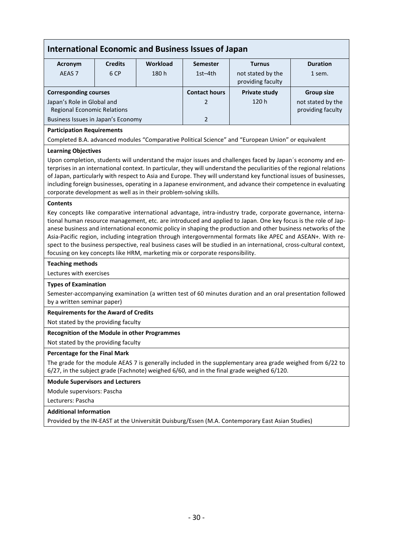| Acronym<br>AEAS <sub>7</sub>                                                                                                                                                                                                                                                                                                                                                                                                                                                                                                                                                                                                                                         | <b>Credits</b><br>6 CP | <b>Workload</b><br>180 h      | <b>Semester</b><br>$1st-4th$ | <b>Turnus</b><br>not stated by the                                                                         | <b>Duration</b><br>1 sem. |  |  |  |
|----------------------------------------------------------------------------------------------------------------------------------------------------------------------------------------------------------------------------------------------------------------------------------------------------------------------------------------------------------------------------------------------------------------------------------------------------------------------------------------------------------------------------------------------------------------------------------------------------------------------------------------------------------------------|------------------------|-------------------------------|------------------------------|------------------------------------------------------------------------------------------------------------|---------------------------|--|--|--|
|                                                                                                                                                                                                                                                                                                                                                                                                                                                                                                                                                                                                                                                                      |                        |                               |                              | providing faculty                                                                                          |                           |  |  |  |
| <b>Corresponding courses</b>                                                                                                                                                                                                                                                                                                                                                                                                                                                                                                                                                                                                                                         |                        |                               | <b>Contact hours</b>         | <b>Private study</b>                                                                                       | <b>Group size</b>         |  |  |  |
| Japan's Role in Global and                                                                                                                                                                                                                                                                                                                                                                                                                                                                                                                                                                                                                                           |                        |                               | 2                            | 120h                                                                                                       | not stated by the         |  |  |  |
| <b>Regional Economic Relations</b><br>Business Issues in Japan's Economy                                                                                                                                                                                                                                                                                                                                                                                                                                                                                                                                                                                             |                        |                               | $\overline{2}$               |                                                                                                            | providing faculty         |  |  |  |
|                                                                                                                                                                                                                                                                                                                                                                                                                                                                                                                                                                                                                                                                      |                        |                               |                              |                                                                                                            |                           |  |  |  |
| <b>Participation Requirements</b>                                                                                                                                                                                                                                                                                                                                                                                                                                                                                                                                                                                                                                    |                        |                               |                              | Completed B.A. advanced modules "Comparative Political Science" and "European Union" or equivalent         |                           |  |  |  |
|                                                                                                                                                                                                                                                                                                                                                                                                                                                                                                                                                                                                                                                                      |                        |                               |                              |                                                                                                            |                           |  |  |  |
| <b>Learning Objectives</b><br>Upon completion, students will understand the major issues and challenges faced by Japan's economy and en-<br>terprises in an international context. In particular, they will understand the peculiarities of the regional relations<br>of Japan, particularly with respect to Asia and Europe. They will understand key functional issues of businesses,<br>including foreign businesses, operating in a Japanese environment, and advance their competence in evaluating<br>corporate development as well as in their problem-solving skills.                                                                                        |                        |                               |                              |                                                                                                            |                           |  |  |  |
| <b>Contents</b>                                                                                                                                                                                                                                                                                                                                                                                                                                                                                                                                                                                                                                                      |                        |                               |                              |                                                                                                            |                           |  |  |  |
| Key concepts like comparative international advantage, intra-industry trade, corporate governance, interna-<br>tional human resource management, etc. are introduced and applied to Japan. One key focus is the role of Jap-<br>anese business and international economic policy in shaping the production and other business networks of the<br>Asia-Pacific region, including integration through intergovernmental formats like APEC and ASEAN+. With re-<br>spect to the business perspective, real business cases will be studied in an international, cross-cultural context,<br>focusing on key concepts like HRM, marketing mix or corporate responsibility. |                        |                               |                              |                                                                                                            |                           |  |  |  |
| <b>Teaching methods</b>                                                                                                                                                                                                                                                                                                                                                                                                                                                                                                                                                                                                                                              |                        |                               |                              |                                                                                                            |                           |  |  |  |
| Lectures with exercises                                                                                                                                                                                                                                                                                                                                                                                                                                                                                                                                                                                                                                              |                        |                               |                              |                                                                                                            |                           |  |  |  |
| <b>Types of Examination</b>                                                                                                                                                                                                                                                                                                                                                                                                                                                                                                                                                                                                                                          |                        |                               |                              |                                                                                                            |                           |  |  |  |
| by a written seminar paper)                                                                                                                                                                                                                                                                                                                                                                                                                                                                                                                                                                                                                                          |                        |                               |                              | Semester-accompanying examination (a written test of 60 minutes duration and an oral presentation followed |                           |  |  |  |
| <b>Requirements for the Award of Credits</b>                                                                                                                                                                                                                                                                                                                                                                                                                                                                                                                                                                                                                         |                        |                               |                              |                                                                                                            |                           |  |  |  |
| Not stated by the providing faculty                                                                                                                                                                                                                                                                                                                                                                                                                                                                                                                                                                                                                                  |                        |                               |                              |                                                                                                            |                           |  |  |  |
| <b>Recognition of the Module in other Programmes</b>                                                                                                                                                                                                                                                                                                                                                                                                                                                                                                                                                                                                                 |                        |                               |                              |                                                                                                            |                           |  |  |  |
| Not stated by the providing faculty                                                                                                                                                                                                                                                                                                                                                                                                                                                                                                                                                                                                                                  |                        |                               |                              |                                                                                                            |                           |  |  |  |
| <b>Percentage for the Final Mark</b>                                                                                                                                                                                                                                                                                                                                                                                                                                                                                                                                                                                                                                 |                        |                               |                              |                                                                                                            |                           |  |  |  |
| The grade for the module AEAS 7 is generally included in the supplementary area grade weighed from 6/22 to<br>6/27, in the subject grade (Fachnote) weighed 6/60, and in the final grade weighed 6/120.                                                                                                                                                                                                                                                                                                                                                                                                                                                              |                        |                               |                              |                                                                                                            |                           |  |  |  |
| <b>Module Supervisors and Lecturers</b>                                                                                                                                                                                                                                                                                                                                                                                                                                                                                                                                                                                                                              |                        |                               |                              |                                                                                                            |                           |  |  |  |
| Module supervisors: Pascha                                                                                                                                                                                                                                                                                                                                                                                                                                                                                                                                                                                                                                           |                        |                               |                              |                                                                                                            |                           |  |  |  |
| Lecturers: Pascha                                                                                                                                                                                                                                                                                                                                                                                                                                                                                                                                                                                                                                                    |                        |                               |                              |                                                                                                            |                           |  |  |  |
|                                                                                                                                                                                                                                                                                                                                                                                                                                                                                                                                                                                                                                                                      |                        | <b>Additional Information</b> |                              |                                                                                                            |                           |  |  |  |
|                                                                                                                                                                                                                                                                                                                                                                                                                                                                                                                                                                                                                                                                      |                        |                               |                              |                                                                                                            |                           |  |  |  |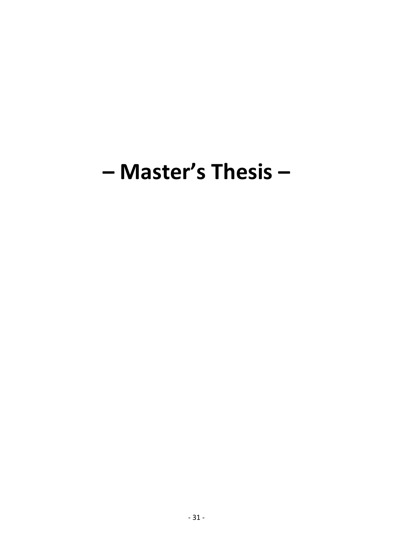# - Master's Thesis -